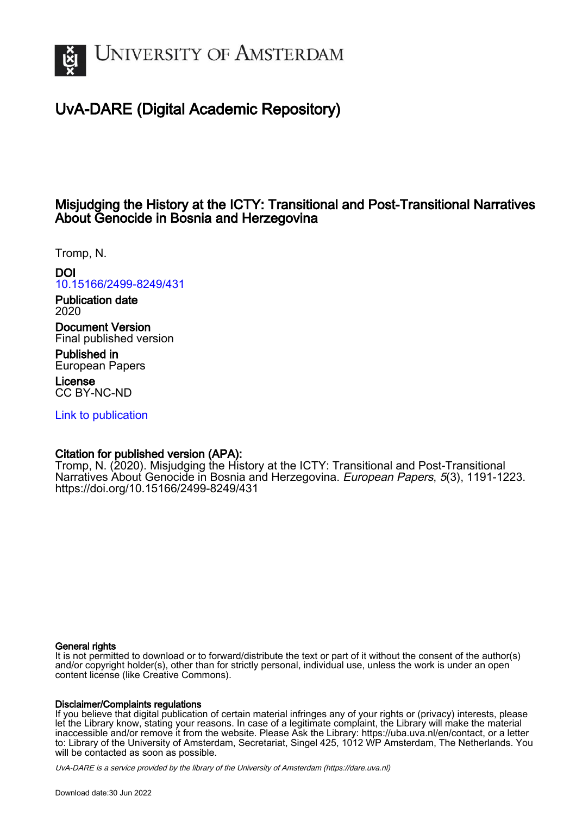

# UvA-DARE (Digital Academic Repository)

# Misjudging the History at the ICTY: Transitional and Post-Transitional Narratives About Genocide in Bosnia and Herzegovina

Tromp, N.

DOI [10.15166/2499-8249/431](https://doi.org/10.15166/2499-8249/431)

Publication date 2020

Document Version Final published version

Published in European Papers

License CC BY-NC-ND

[Link to publication](https://dare.uva.nl/personal/pure/en/publications/misjudging-the-history-at-the-icty-transitional-and-posttransitional-narratives-about-genocide-in-bosnia-and-herzegovina(c9f82a9a-08db-40e5-a9f1-e72ca19afe63).html)

## Citation for published version (APA):

Tromp, N. (2020). Misjudging the History at the ICTY: Transitional and Post-Transitional Narratives About Genocide in Bosnia and Herzegovina. European Papers, 5(3), 1191-1223. <https://doi.org/10.15166/2499-8249/431>

## General rights

It is not permitted to download or to forward/distribute the text or part of it without the consent of the author(s) and/or copyright holder(s), other than for strictly personal, individual use, unless the work is under an open content license (like Creative Commons).

## Disclaimer/Complaints regulations

If you believe that digital publication of certain material infringes any of your rights or (privacy) interests, please let the Library know, stating your reasons. In case of a legitimate complaint, the Library will make the material inaccessible and/or remove it from the website. Please Ask the Library: https://uba.uva.nl/en/contact, or a letter to: Library of the University of Amsterdam, Secretariat, Singel 425, 1012 WP Amsterdam, The Netherlands. You will be contacted as soon as possible.

UvA-DARE is a service provided by the library of the University of Amsterdam (http*s*://dare.uva.nl)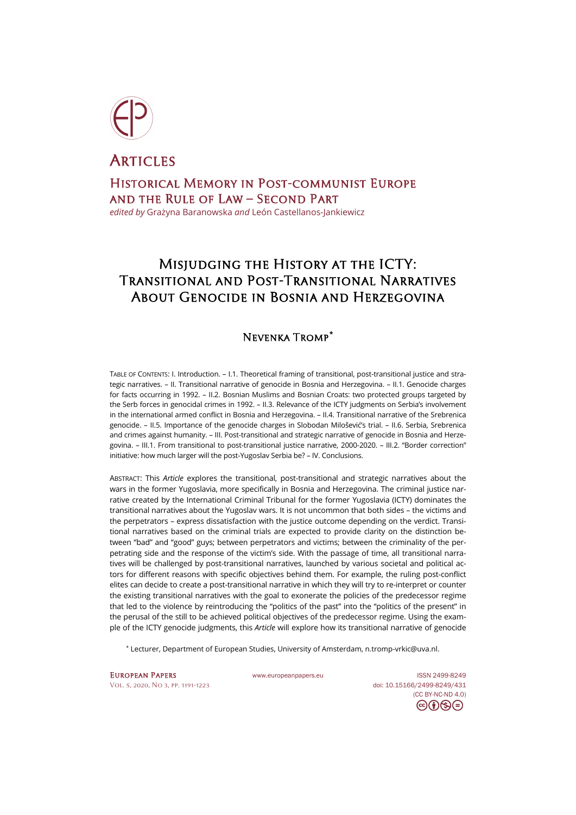

**ARTICLES** Historical Memory in Post-communist Europe and the Rule of Law – Second Part *edited by* Grażyna Baranowska *and* León Castellanos-Jankiewicz

# Misjudging the History at the ICTY: Transitional and Post-Transitional Narratives About Genocide in Bosnia and Herzegovina

## Nevenka Tromp**[\\*](#page-1-0)**

TABLE OF CONTENTS: I. Introduction. – I.1. Theoretical framing of transitional, post-transitional justice and strategic narratives. – II. Transitional narrative of genocide in Bosnia and Herzegovina. – II.1. Genocide charges for facts occurring in 1992. – II.2. Bosnian Muslims and Bosnian Croats: two protected groups targeted by the Serb forces in genocidal crimes in 1992. – II.3. Relevance of the ICTY judgments on Serbia's involvement in the international armed conflict in Bosnia and Herzegovina. – II.4. Transitional narrative of the Srebrenica genocide. – II.5. Importance of the genocide charges in Slobodan Milošević's trial. – II.6. Serbia, Srebrenica and crimes against humanity. – III. Post-transitional and strategic narrative of genocide in Bosnia and Herzegovina. – III.1. From transitional to post-transitional justice narrative, 2000-2020. – III.2. "Border correction" initiative: how much larger will the post-Yugoslav Serbia be? – IV. Conclusions.

ABSTRACT: This *Article* explores the transitional, post-transitional and strategic narratives about the wars in the former Yugoslavia, more specifically in Bosnia and Herzegovina. The criminal justice narrative created by the International Criminal Tribunal for the former Yugoslavia (ICTY) dominates the transitional narratives about the Yugoslav wars. It is not uncommon that both sides – the victims and the perpetrators – express dissatisfaction with the justice outcome depending on the verdict. Transitional narratives based on the criminal trials are expected to provide clarity on the distinction between "bad" and "good" guys; between perpetrators and victims; between the criminality of the perpetrating side and the response of the victim's side. With the passage of time, all transitional narratives will be challenged by post-transitional narratives, launched by various societal and political actors for different reasons with specific objectives behind them. For example, the ruling post-conflict elites can decide to create a post-transitional narrative in which they will try to re-interpret or counter the existing transitional narratives with the goal to exonerate the policies of the predecessor regime that led to the violence by reintroducing the "politics of the past" into the "politics of the present" in the perusal of the still to be achieved political objectives of the predecessor regime. Using the example of the ICTY genocide judgments, this *Article* will explore how its transitional narrative of genocide

\* Lecturer, Department of European Studies, University of Amsterdam, n.tromp-[vrkic@uva.nl](mailto:n.tromp-vrkic@uva.nl).

<span id="page-1-0"></span>EUROPEAN PAPERS WWW.europeanpapers.eu ISS[N 2499-8249](https://search.datacite.org/works?query=www.europeanpapers.eu) [Vol. 5, 2020, No 3,](http://www.europeanpapers.eu/en/content/e-journal/EP_eJ_2020_3) pp. 1191-1223 doi[: 10.15166/2499-8249/431](https://search.datacite.org/works/10.15166/2499-8249/431)

[\(CC BY-NC-ND 4.0\)](https://creativecommons.org/licenses/by-nc-nd/4.0/)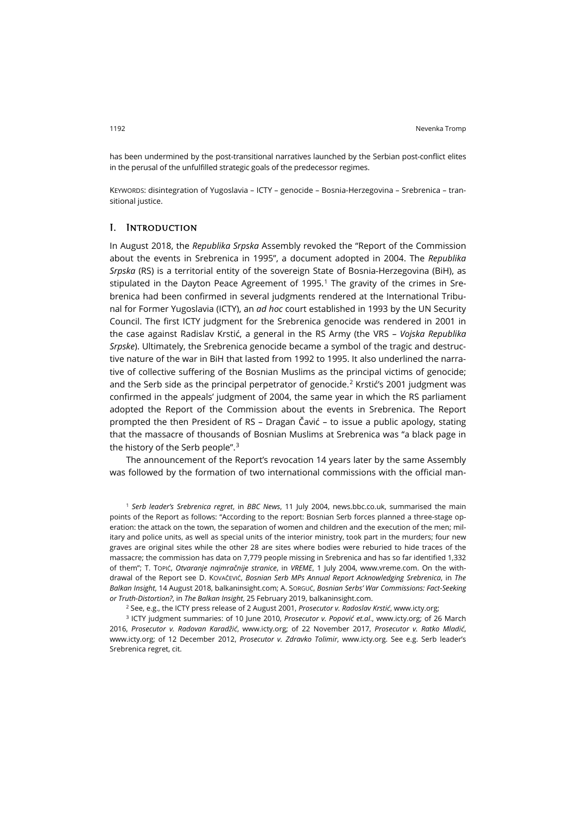has been undermined by the post-transitional narratives launched by the Serbian post-conflict elites in the perusal of the unfulfilled strategic goals of the predecessor regimes.

KEYWORDS: disintegration of Yugoslavia – ICTY – genocide – Bosnia-Herzegovina – Srebrenica – transitional justice.

### I. Introduction

In August 2018, the *Republika Srpska* Assembly revoked the "Report of the Commission about the events in Srebrenica in 1995", a document adopted in 2004. The *Republika Srpska* (RS) is a territorial entity of the sovereign State of Bosnia-Herzegovina (BiH), as stipulated in the Dayton Peace Agreement of [1](#page-2-0)995.<sup>1</sup> The gravity of the crimes in Srebrenica had been confirmed in several judgments rendered at the International Tribunal for Former Yugoslavia (ICTY), an *ad hoc* court established in 1993 by the UN Security Council. The first ICTY judgment for the Srebrenica genocide was rendered in 2001 in the case against Radislav Krstić, a general in the RS Army (the VRS – *Vojska Republika Srpske*). Ultimately, the Srebrenica genocide became a symbol of the tragic and destructive nature of the war in BiH that lasted from 1992 to 1995. It also underlined the narrative of collective suffering of the Bosnian Muslims as the principal victims of genocide; and the Serb side as the principal perpetrator of genocide.<sup>[2](#page-2-1)</sup> Krstić's 2001 judgment was confirmed in the appeals' judgment of 2004, the same year in which the RS parliament adopted the Report of the Commission about the events in Srebrenica. The Report prompted the then President of RS – Dragan Čavić – to issue a public apology, stating that the massacre of thousands of Bosnian Muslims at Srebrenica was "a black page in the history of the Serb people".[3](#page-2-2)

The announcement of the Report's revocation 14 years later by the same Assembly was followed by the formation of two international commissions with the official man-

<span id="page-2-0"></span><sup>1</sup> *Serb leader's Srebrenica regret*, in *BBC News*, 11 July 2004, [news.bbc.co.uk,](http://news.bbc.co.uk/2/hi/europe/3831599.stm) summarised the main points of the Report as follows: "According to the report: Bosnian Serb forces planned a three-stage operation: the attack on the town, the separation of women and children and the execution of the men; military and police units, as well as special units of the interior ministry, took part in the murders; four new graves are original sites while the other 28 are sites where bodies were reburied to hide traces of the massacre; the commission has data on 7,779 people missing in Srebrenica and has so far identified 1,332 of them"; T. TOPIĆ, *Otvaranje najmračnije stranice*, in *VREME*, 1 July 2004, [www.vreme.com.](https://www.vreme.com/cms/view.php?id=384060) On the withdrawal of the Report see D. KOVAČEVIĆ, *Bosnian Serb MPs Annual Report Acknowledging Srebrenica*, in *The Balkan Insight*, 14 August 2018[, balkaninsight.com;](https://balkaninsight.com/2018/08/14/bosnian-serb-mps-annul-report-acknowledging-srebrenica-08-14-2018/) A. SORGUĆ, *Bosnian Serbs' War Commissions: Fact-Seeking or Truth-Distortion?*, in *The Balkan Insight*, 25 February 2019[, balkaninsight.com](https://balkaninsight.com/2019/02/25/bosnian-serbs-war-commissions-fact-seeking-or-truth-distorting/).

<sup>2</sup> See, e.g., the ICTY press release of 2 August 2001, *Prosecutor v. Radoslav Krstić*[, www.icty.org;](https://www.icty.org/x/cases/krstic/tjug/en/010802_Krstic_summary_en.pdf)

<span id="page-2-2"></span><span id="page-2-1"></span><sup>3</sup> ICTY judgment summaries: of 10 June 2010, *Prosecutor v. Popović et.al*., [www.icty.org;](https://www.icty.org/x/cases/popovic/tjug/en/100610summary.pdf) of 26 March 2016, *Prosecutor v. Radovan Karadžić*, [www.icty.org;](https://www.icty.org/x/cases/karadzic/tjug/en/160324_judgement_summary.pdf) of 22 November 2017, *Prosecutor v. Ratko Mladić*, [www.icty.org;](https://www.icty.org/x/cases/mladic/tjug/en/171122-summary-en.pdf) of 12 December 2012, *Prosecutor v. Zdravko Tolimir*, [www.icty.org.](https://www.icty.org/x/cases/tolimir/tjug/en/121212_summary.pdf) See e.g. Serb leader's Srebrenica regret, cit.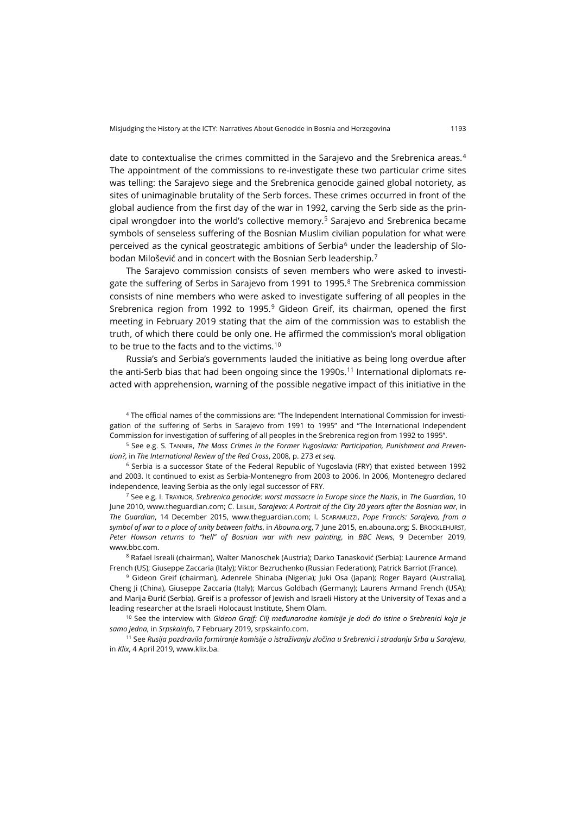date to contextualise the crimes committed in the Sarajevo and the Srebrenica areas.<sup>[4](#page-3-0)</sup> The appointment of the commissions to re-investigate these two particular crime sites was telling: the Sarajevo siege and the Srebrenica genocide gained global notoriety, as sites of unimaginable brutality of the Serb forces. These crimes occurred in front of the global audience from the first day of the war in 1992, carving the Serb side as the prin-cipal wrongdoer into the world's collective memory.<sup>[5](#page-3-1)</sup> Sarajevo and Srebrenica became symbols of senseless suffering of the Bosnian Muslim civilian population for what were perceived as the cynical geostrategic ambitions of Serbia $6$  under the leadership of Slobodan Milošević and in concert with the Bosnian Serb leadership.[7](#page-3-3)

The Sarajevo commission consists of seven members who were asked to investi-gate the suffering of Serbs in Sarajevo from 1991 to 1995.<sup>[8](#page-3-4)</sup> The Srebrenica commission consists of nine members who were asked to investigate suffering of all peoples in the Srebrenica region from 1992 to 1995.[9](#page-3-5) Gideon Greif, its chairman, opened the first meeting in February 2019 stating that the aim of the commission was to establish the truth, of which there could be only one. He affirmed the commission's moral obligation to be true to the facts and to the victims.<sup>[10](#page-3-6)</sup>

Russia's and Serbia's governments lauded the initiative as being long overdue after the anti-Serb bias that had been ongoing since the 1990s.<sup>[11](#page-3-7)</sup> International diplomats reacted with apprehension, warning of the possible negative impact of this initiative in the

<span id="page-3-0"></span><sup>4</sup> The official names of the commissions are: "The Independent International Commission for investigation of the suffering of Serbs in Sarajevo from 1991 to 1995" and "The International Independent Commission for investigation of suffering of all peoples in the Srebrenica region from 1992 to 1995".

<span id="page-3-1"></span><sup>5</sup> See e.g. S. TANNER, *The Mass Crimes in the Former Yugoslavia: Participation, Punishment and Prevention?*, in *The International Review of the Red Cross*, 2008, p. 273 *et seq.*

<span id="page-3-2"></span><sup>6</sup> Serbia is a successor State of the Federal Republic of Yugoslavia (FRY) that existed between 1992 and 2003. It continued to exist as Serbia-Montenegro from 2003 to 2006. In 2006, Montenegro declared independence, leaving Serbia as the only legal successor of FRY.

<span id="page-3-3"></span><sup>7</sup> See e.g. I. TRAYNOR, *Srebrenica genocide: worst massacre in Europe since the Nazis*, in *The Guardian*, 10 June 2010[, www.theguardian.com;](https://www.theguardian.com/law/2010/jun/10/hague-bosnian-serb-srebrenica-genocide1) C. LESLIE, *Sarajevo: A Portrait of the City 20 years after the Bosnian war*, in *The Guardian*, 14 December 2015, [www.theguardian.com;](https://www.theguardian.com/cities/ng-interactive/2015/dec/14/sarajevo-portrait-city-20-years-bosnian-war-dayton) I. SCARAMUZZI, *Pope Francis: Sarajevo, from a symbol of war to a place of unity between faiths*, in *Abouna.org*, 7 June 2015, [en.abouna.org;](http://en.abouna.org/article/pope-francis-sarajevo-symbol-war-place-unity-between-faiths) S. BROCKLEHURST, *Peter Howson returns to "hell" of Bosnian war with new painting*, in *BBC News*, 9 December 2019, [www.bbc.com](https://www.bbc.com/news/uk-scotland-50672876).

<span id="page-3-4"></span><sup>8</sup> Rafael Isreali (chairman), Walter Manoschek (Austria); Darko Tanasković (Serbia); Laurence Armand French (US); Giuseppe Zaccaria (Italy); Viktor Bezruchenko (Russian Federation); Patrick Barriot (France).

<span id="page-3-5"></span><sup>9</sup> Gideon Greif (chairman), Adenrele Shinaba (Nigeria); Juki Osa (Japan); Roger Bayard (Australia), Cheng Ji (China), Giuseppe Zaccaria (Italy); Marcus Goldbach (Germany); Laurens Armand French (USA); and Marija Đurić (Serbia). Greif is a professor of Jewish and Israeli History at the University of Texas and a leading researcher at the Israeli Holocaust Institute, Shem Olam.

<span id="page-3-6"></span><sup>10</sup> See the interview with *Gideon Grajf: Cilj međunarodne komisije je doći do istine o Srebrenici koja je samo jedna*, in *Srpskainfo*, 7 February 2019, [srpskainfo.com](https://srpskainfo.com/gideon-grajf-cilj-medjunarodne-komisije-je-doci-do-istine-o-srebrenici-koja-je-samo-jedna).

<span id="page-3-7"></span><sup>11</sup> See *Rusija pozdravila formiranje komisije o istraživanju zločina u Srebrenici i stradanju Srba u Sarajevu*, in *Klix*, 4 April 2019, [www.klix.ba](https://www.klix.ba/vijesti/bih/rusija-pozdravila-formiranje-komisija-o-istrazivanju-zlocina-u-srebrenici-i-stradanju-srba-u-sarajevu/190404156).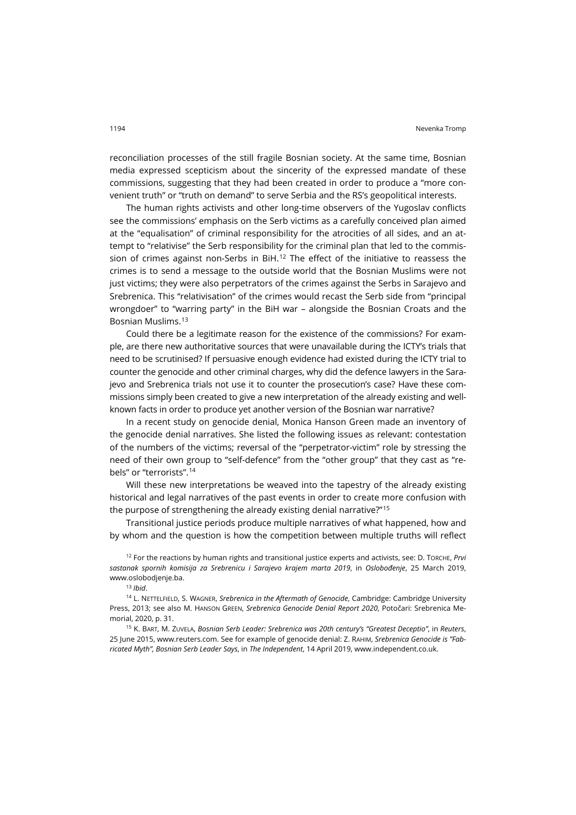reconciliation processes of the still fragile Bosnian society. At the same time, Bosnian media expressed scepticism about the sincerity of the expressed mandate of these commissions, suggesting that they had been created in order to produce a "more convenient truth" or "truth on demand" to serve Serbia and the RS's geopolitical interests.

The human rights activists and other long-time observers of the Yugoslav conflicts see the commissions' emphasis on the Serb victims as a carefully conceived plan aimed at the "equalisation" of criminal responsibility for the atrocities of all sides, and an attempt to "relativise" the Serb responsibility for the criminal plan that led to the commis-sion of crimes against non-Serbs in BiH.<sup>[12](#page-4-0)</sup> The effect of the initiative to reassess the crimes is to send a message to the outside world that the Bosnian Muslims were not just victims; they were also perpetrators of the crimes against the Serbs in Sarajevo and Srebrenica. This "relativisation" of the crimes would recast the Serb side from "principal wrongdoer" to "warring party" in the BiH war – alongside the Bosnian Croats and the Bosnian Muslims.[13](#page-4-1)

Could there be a legitimate reason for the existence of the commissions? For example, are there new authoritative sources that were unavailable during the ICTY's trials that need to be scrutinised? If persuasive enough evidence had existed during the ICTY trial to counter the genocide and other criminal charges, why did the defence lawyers in the Sarajevo and Srebrenica trials not use it to counter the prosecution's case? Have these commissions simply been created to give a new interpretation of the already existing and wellknown facts in order to produce yet another version of the Bosnian war narrative?

In a recent study on genocide denial, Monica Hanson Green made an inventory of the genocide denial narratives. She listed the following issues as relevant: contestation of the numbers of the victims; reversal of the "perpetrator-victim" role by stressing the need of their own group to "self-defence" from the "other group" that they cast as "rebels" or "terrorists".[14](#page-4-2)

Will these new interpretations be weaved into the tapestry of the already existing historical and legal narratives of the past events in order to create more confusion with the purpose of strengthening the already existing denial narrative?"[15](#page-4-3)

Transitional justice periods produce multiple narratives of what happened, how and by whom and the question is how the competition between multiple truths will reflect

<span id="page-4-0"></span><sup>12</sup> For the reactions by human rights and transitional justice experts and activists, see: D. TORCHE, *Prvi sastanak spornih komisija za Srebrenicu i Sarajevo krajem marta 2019*, in *Oslobođenje*, 25 March 2019, [www.oslobodjenje.ba](https://www.oslobodjenje.ba/vijesti/bih/prvi-sastanak-spornih-komisija-za-srebrenicu-i-sarajevo-krajem-marta-436529).

<sup>13</sup> *Ibid*.

<span id="page-4-2"></span><span id="page-4-1"></span><sup>14</sup> L. NETTELFIELD, S. WAGNER, *Srebrenica in the Aftermath of Genocide*, Cambridge: Cambridge University Press, 2013; see also M. HANSON GREEN, *Srebrenica Genocide Denial Report 2020*, Potočari: Srebrenica Memorial, 2020, p. 31.

<span id="page-4-3"></span><sup>15</sup> K. BART, M. ZUVELA, *Bosnian Serb Leader: Srebrenica was 20th century's "Greatest Deceptio"*, in *Reuters*, 25 June 2015, [www.reuters.com.](https://www.reuters.com/article/us-bosnia-serbia-arrest/bosnian-serb-leader-srebrenica-was-20th-centurys-greatest-deception-idUSKBN0P51OL20150625) See for example of genocide denial: Z. RAHIM, *Srebrenica Genocide is "Fabricated Myth", Bosnian Serb Leader Says*, in *The Independent*, 14 April 2019, [www.independent.co.uk](https://www.independent.co.uk/news/world/europe/srebrenica-massacre-genocide-milorad-dodik-bosnia-myth-a8869026.html).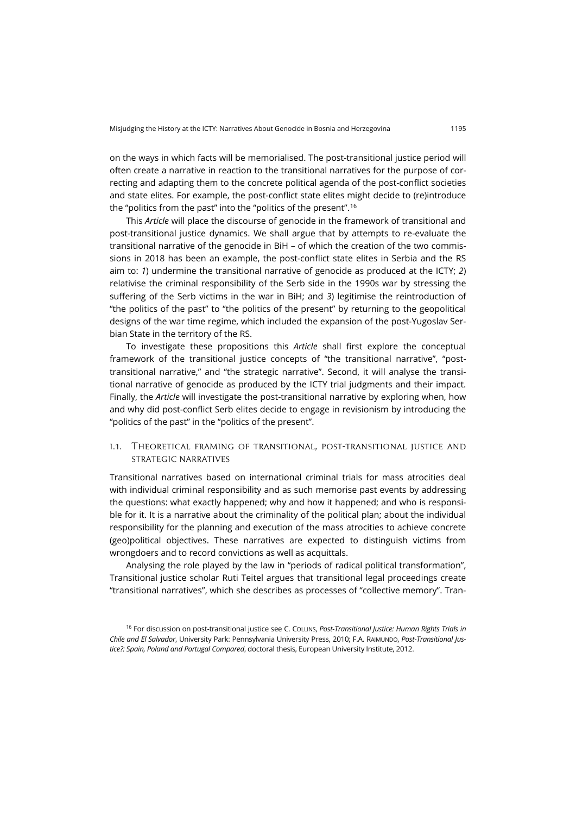on the ways in which facts will be memorialised. The post-transitional justice period will often create a narrative in reaction to the transitional narratives for the purpose of correcting and adapting them to the concrete political agenda of the post-conflict societies and state elites. For example, the post-conflict state elites might decide to (re)introduce the "politics from the past" into the "politics of the present".[16](#page-5-0)

This *Article* will place the discourse of genocide in the framework of transitional and post-transitional justice dynamics. We shall argue that by attempts to re-evaluate the transitional narrative of the genocide in BiH – of which the creation of the two commissions in 2018 has been an example, the post-conflict state elites in Serbia and the RS aim to: *1*) undermine the transitional narrative of genocide as produced at the ICTY; *2*) relativise the criminal responsibility of the Serb side in the 1990s war by stressing the suffering of the Serb victims in the war in BiH; and *3*) legitimise the reintroduction of "the politics of the past" to "the politics of the present" by returning to the geopolitical designs of the war time regime, which included the expansion of the post-Yugoslav Serbian State in the territory of the RS.

To investigate these propositions this *Article* shall first explore the conceptual framework of the transitional justice concepts of "the transitional narrative", "posttransitional narrative," and "the strategic narrative". Second, it will analyse the transitional narrative of genocide as produced by the ICTY trial judgments and their impact. Finally, the *Article* will investigate the post-transitional narrative by exploring when, how and why did post-conflict Serb elites decide to engage in revisionism by introducing the "politics of the past" in the "politics of the present".

## i.1. Theoretical framing of transitional, post-transitional justice and strategic narratives

Transitional narratives based on international criminal trials for mass atrocities deal with individual criminal responsibility and as such memorise past events by addressing the questions: what exactly happened; why and how it happened; and who is responsible for it. It is a narrative about the criminality of the political plan; about the individual responsibility for the planning and execution of the mass atrocities to achieve concrete (geo)political objectives. These narratives are expected to distinguish victims from wrongdoers and to record convictions as well as acquittals.

Analysing the role played by the law in "periods of radical political transformation", Transitional justice scholar Ruti Teitel argues that transitional legal proceedings create "transitional narratives", which she describes as processes of "collective memory". Tran-

<span id="page-5-0"></span><sup>16</sup> For discussion on post-transitional justice see C. COLLINS, *Post-Transitional Justice: Human Rights Trials in Chile and El Salvador*, University Park: Pennsylvania University Press, 2010; F.A. RAIMUNDO, *Post-Transitional Justice?: Spain, Poland and Portugal Compared*, doctoral thesis, European University Institute, 2012.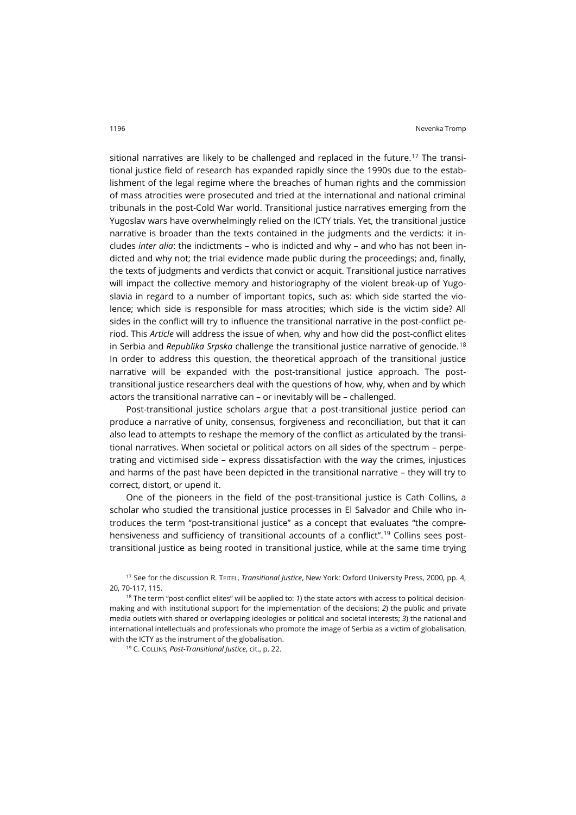sitional narratives are likely to be challenged and replaced in the future.<sup>[17](#page-6-0)</sup> The transitional justice field of research has expanded rapidly since the 1990s due to the establishment of the legal regime where the breaches of human rights and the commission of mass atrocities were prosecuted and tried at the international and national criminal tribunals in the post-Cold War world. Transitional justice narratives emerging from the Yugoslav wars have overwhelmingly relied on the ICTY trials. Yet, the transitional justice narrative is broader than the texts contained in the judgments and the verdicts: it includes *inter alia*: the indictments – who is indicted and why – and who has not been indicted and why not; the trial evidence made public during the proceedings; and, finally, the texts of judgments and verdicts that convict or acquit. Transitional justice narratives will impact the collective memory and historiography of the violent break-up of Yugoslavia in regard to a number of important topics, such as: which side started the violence; which side is responsible for mass atrocities; which side is the victim side? All sides in the conflict will try to influence the transitional narrative in the post-conflict period. This *Article* will address the issue of when, why and how did the post-conflict elites in Serbia and *Republika Srpska* challenge the transitional justice narrative of genocide.[18](#page-6-1) In order to address this question, the theoretical approach of the transitional justice narrative will be expanded with the post-transitional justice approach. The posttransitional justice researchers deal with the questions of how, why, when and by which actors the transitional narrative can – or inevitably will be – challenged.

Post-transitional justice scholars argue that a post-transitional justice period can produce a narrative of unity, consensus, forgiveness and reconciliation, but that it can also lead to attempts to reshape the memory of the conflict as articulated by the transitional narratives. When societal or political actors on all sides of the spectrum – perpetrating and victimised side – express dissatisfaction with the way the crimes, injustices and harms of the past have been depicted in the transitional narrative – they will try to correct, distort, or upend it.

One of the pioneers in the field of the post-transitional justice is Cath Collins, a scholar who studied the transitional justice processes in El Salvador and Chile who introduces the term "post-transitional justice" as a concept that evaluates "the compre-hensiveness and sufficiency of transitional accounts of a conflict".<sup>[19](#page-6-2)</sup> Collins sees posttransitional justice as being rooted in transitional justice, while at the same time trying

<sup>19</sup> C. COLLINS, *Post-Transitional Justice*, cit., p. 22.

<span id="page-6-0"></span><sup>17</sup> See for the discussion R. TEITEL, *Transitional Justice*, New York: Oxford University Press, 2000, pp. 4, 20, 70-117, 115.

<span id="page-6-2"></span><span id="page-6-1"></span><sup>18</sup> The term "post-conflict elites" will be applied to: *1*) the state actors with access to political decisionmaking and with institutional support for the implementation of the decisions; *2*) the public and private media outlets with shared or overlapping ideologies or political and societal interests; *3*) the national and international intellectuals and professionals who promote the image of Serbia as a victim of globalisation, with the ICTY as the instrument of the globalisation.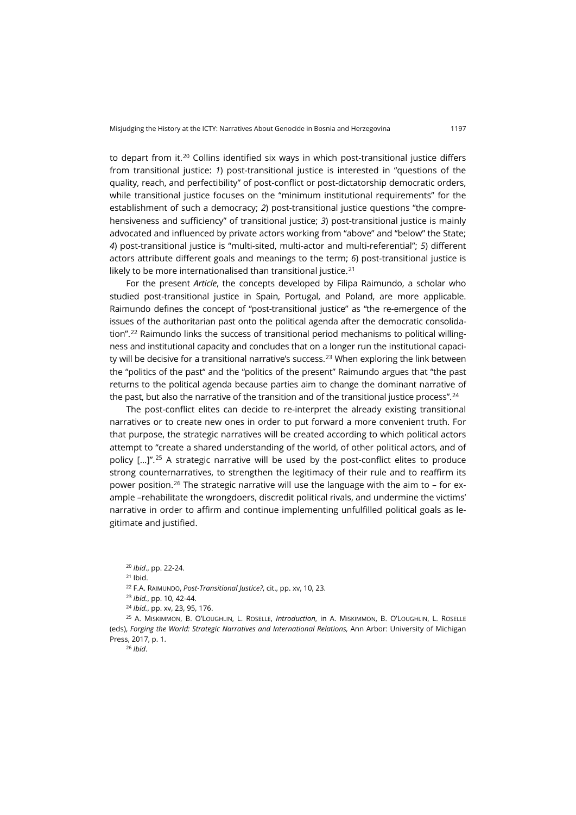to depart from it.<sup>20</sup> Collins identified six ways in which post-transitional justice differs from transitional justice: *1*) post-transitional justice is interested in "questions of the quality, reach, and perfectibility" of post-conflict or post-dictatorship democratic orders, while transitional justice focuses on the "minimum institutional requirements" for the establishment of such a democracy; *2*) post-transitional justice questions "the comprehensiveness and sufficiency" of transitional justice; *3*) post-transitional justice is mainly advocated and influenced by private actors working from "above" and "below" the State; *4*) post-transitional justice is "multi-sited, multi-actor and multi-referential"; *5*) different actors attribute different goals and meanings to the term; *6*) post-transitional justice is likely to be more internationalised than transitional justice. $21$ 

For the present *Article*, the concepts developed by Filipa Raimundo, a scholar who studied post-transitional justice in Spain, Portugal, and Poland, are more applicable. Raimundo defines the concept of "post-transitional justice" as "the re-emergence of the issues of the authoritarian past onto the political agenda after the democratic consolida-tion".<sup>[22](#page-7-2)</sup> Raimundo links the success of transitional period mechanisms to political willingness and institutional capacity and concludes that on a longer run the institutional capaci-ty will be decisive for a transitional narrative's success.<sup>[23](#page-7-3)</sup> When exploring the link between the "politics of the past" and the "politics of the present" Raimundo argues that "the past returns to the political agenda because parties aim to change the dominant narrative of the past, but also the narrative of the transition and of the transitional justice process".<sup>[24](#page-7-4)</sup>

The post-conflict elites can decide to re-interpret the already existing transitional narratives or to create new ones in order to put forward a more convenient truth. For that purpose, the strategic narratives will be created according to which political actors attempt to "create a shared understanding of the world, of other political actors, and of policy [...]".<sup>[25](#page-7-5)</sup> A strategic narrative will be used by the post-conflict elites to produce strong counternarratives, to strengthen the legitimacy of their rule and to reaffirm its power position.<sup>[26](#page-7-6)</sup> The strategic narrative will use the language with the aim to - for example –rehabilitate the wrongdoers, discredit political rivals, and undermine the victims' narrative in order to affirm and continue implementing unfulfilled political goals as legitimate and justified.

<span id="page-7-6"></span><span id="page-7-5"></span><span id="page-7-4"></span><span id="page-7-3"></span><span id="page-7-2"></span><span id="page-7-1"></span><span id="page-7-0"></span><sup>25</sup> A. MISKIMMON, B. O'LOUGHLIN, L. ROSELLE, *Introduction*, in A. MISKIMMON, B. O'LOUGHLIN, L. ROSELLE (eds), *Forging the World: Strategic Narratives and International Relations,* Ann Arbor: University of Michigan Press, 2017, p. 1.

<sup>26</sup> *Ibid*.

<sup>20</sup> *Ibid*., pp. 22-24.  $21$  Ibid. <sup>22</sup> F.A. RAIMUNDO, *Post-Transitional Justice?*, cit., pp. xv, 10, 23. <sup>23</sup> *Ibid.*, pp. 10, 42-44.

<sup>24</sup> *Ibid.*, pp. xv, 23, 95, 176.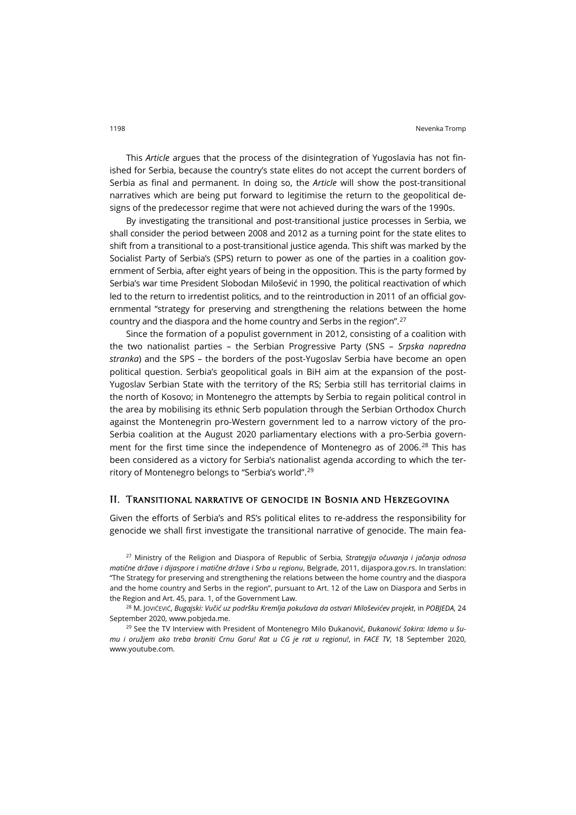This *Article* argues that the process of the disintegration of Yugoslavia has not finished for Serbia, because the country's state elites do not accept the current borders of Serbia as final and permanent. In doing so, the *Article* will show the post-transitional narratives which are being put forward to legitimise the return to the geopolitical designs of the predecessor regime that were not achieved during the wars of the 1990s.

By investigating the transitional and post-transitional justice processes in Serbia, we shall consider the period between 2008 and 2012 as a turning point for the state elites to shift from a transitional to a post-transitional justice agenda. This shift was marked by the Socialist Party of Serbia's (SPS) return to power as one of the parties in a coalition government of Serbia, after eight years of being in the opposition. This is the party formed by Serbia's war time President Slobodan Milošević in 1990, the political reactivation of which led to the return to irredentist politics, and to the reintroduction in 2011 of an official governmental "strategy for preserving and strengthening the relations between the home country and the diaspora and the home country and Serbs in the region".[27](#page-8-0)

Since the formation of a populist government in 2012, consisting of a coalition with the two nationalist parties – the Serbian Progressive Party (SNS – *Srpska napredna stranka*) and the SPS – the borders of the post-Yugoslav Serbia have become an open political question. Serbia's geopolitical goals in BiH aim at the expansion of the post-Yugoslav Serbian State with the territory of the RS; Serbia still has territorial claims in the north of Kosovo; in Montenegro the attempts by Serbia to regain political control in the area by mobilising its ethnic Serb population through the Serbian Orthodox Church against the Montenegrin pro-Western government led to a narrow victory of the pro-Serbia coalition at the August 2020 parliamentary elections with a pro-Serbia govern-ment for the first time since the independence of Montenegro as of 2006.<sup>[28](#page-8-1)</sup> This has been considered as a victory for Serbia's nationalist agenda according to which the territory of Montenegro belongs to "Serbia's world".[29](#page-8-2)

#### II. Transitional narrative of genocide in Bosnia and Herzegovina

Given the efforts of Serbia's and RS's political elites to re-address the responsibility for genocide we shall first investigate the transitional narrative of genocide. The main fea-

<span id="page-8-0"></span><sup>27</sup> Ministry of the Religion and Diaspora of Republic of Serbia, *Strategija očuvanja i jačanja odnosa matične države i dijaspore i matične države i Srba u regionu*, Belgrade, 2011, [dijaspora.gov.rs](http://dijaspora.gov.rs/wp-content/uploads/2012/12/strategija_mvd2011.pdf). In translation: "The Strategy for preserving and strengthening the relations between the home country and the diaspora and the home country and Serbs in the region", pursuant to Art. 12 of the Law on Diaspora and Serbs in the Region and Art. 45, para. 1, of the Government Law.

<span id="page-8-1"></span><sup>28</sup> M. JOVIĆEVIĆ, *Bugajski: Vučić uz podršku Kremlja pokušava da ostvari Miloševićev projekt*, in *POBJEDA*, 24 September 2020[, www.pobjeda.me](https://www.pobjeda.me/clanak/bugajski-vucic-uz-podrsku-kremlja-pokusava-da-ostvari-milosevicev-projekat).

<span id="page-8-2"></span><sup>29</sup> See the TV Interview with President of Montenegro Milo Đukanović, *Đukanović šokira: Idemo u šumu i oružjem ako treba braniti Crnu Goru! Rat u CG je rat u regionu!*, in *FACE TV*, 18 September 2020, [www.youtube.com](https://www.youtube.com/watch?v=XjfM0zDgQHc).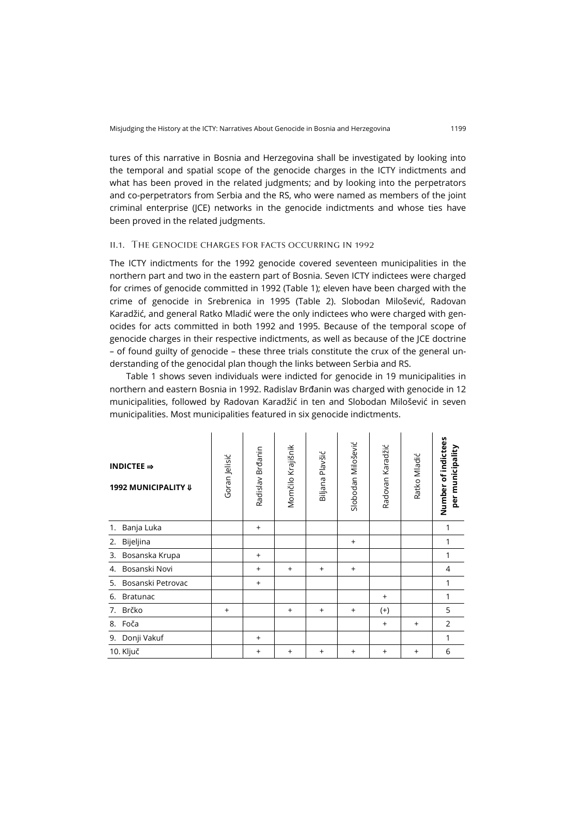tures of this narrative in Bosnia and Herzegovina shall be investigated by looking into the temporal and spatial scope of the genocide charges in the ICTY indictments and what has been proved in the related judgments; and by looking into the perpetrators and co-perpetrators from Serbia and the RS, who were named as members of the joint criminal enterprise (JCE) networks in the genocide indictments and whose ties have been proved in the related judgments.

#### ii.1. The genocide charges for facts occurring in 1992

The ICTY indictments for the 1992 genocide covered seventeen municipalities in the northern part and two in the eastern part of Bosnia. Seven ICTY indictees were charged for crimes of genocide committed in 1992 (Table 1); eleven have been charged with the crime of genocide in Srebrenica in 1995 (Table 2). Slobodan Milošević, Radovan Karadžić, and general Ratko Mladić were the only indictees who were charged with genocides for acts committed in both 1992 and 1995. Because of the temporal scope of genocide charges in their respective indictments, as well as because of the JCE doctrine – of found guilty of genocide – these three trials constitute the crux of the general understanding of the genocidal plan though the links between Serbia and RS.

Table 1 shows seven individuals were indicted for genocide in 19 municipalities in northern and eastern Bosnia in 1992. Radislav Brđanin was charged with genocide in 12 municipalities, followed by Radovan Karadžić in ten and Slobodan Milošević in seven municipalities. Most municipalities featured in six genocide indictments.

| INDICTEE $\Rightarrow$<br>1992 MUNICIPALITY II | Goran Jelisić | Radislav Brđanin | Momčilo Krajišnik | Biljana Plavšić | Slobodan Milošević | Radovan Karadžić | Ratko Mladić | Number of indictees<br>per municipality |
|------------------------------------------------|---------------|------------------|-------------------|-----------------|--------------------|------------------|--------------|-----------------------------------------|
| Banja Luka<br>1.                               |               | $^{+}$           |                   |                 |                    |                  |              | 1                                       |
| Bijeljina<br>2.                                |               |                  |                   |                 | $\ddot{}$          |                  |              | 1                                       |
| Bosanska Krupa<br>3.                           |               | $\ddot{}$        |                   |                 |                    |                  |              | 1                                       |
| Bosanski Novi<br>4.                            |               | $^{+}$           | $\ddot{}$         | $\ddot{}$       | $^{+}$             |                  |              | 4                                       |
| Bosanski Petrovac<br>5.                        |               | $^{+}$           |                   |                 |                    |                  |              | 1                                       |
| <b>Bratunac</b><br>6.                          |               |                  |                   |                 |                    | $^{+}$           |              | 1                                       |
| 7.<br>Brčko                                    | $\ddot{}$     |                  | $\ddot{}$         | $\ddot{}$       | $^{+}$             | $^{(+)}$         |              | 5                                       |
| Foča<br>8.                                     |               |                  |                   |                 |                    | $\ddot{}$        | $^{+}$       | $\overline{2}$                          |
| Donji Vakuf<br>9.                              |               | $^{+}$           |                   |                 |                    |                  |              | 1                                       |
| 10. Ključ                                      |               | $^{+}$           | $^{+}$            | $^{+}$          | $^{+}$             | $^{+}$           | $^{+}$       | 6                                       |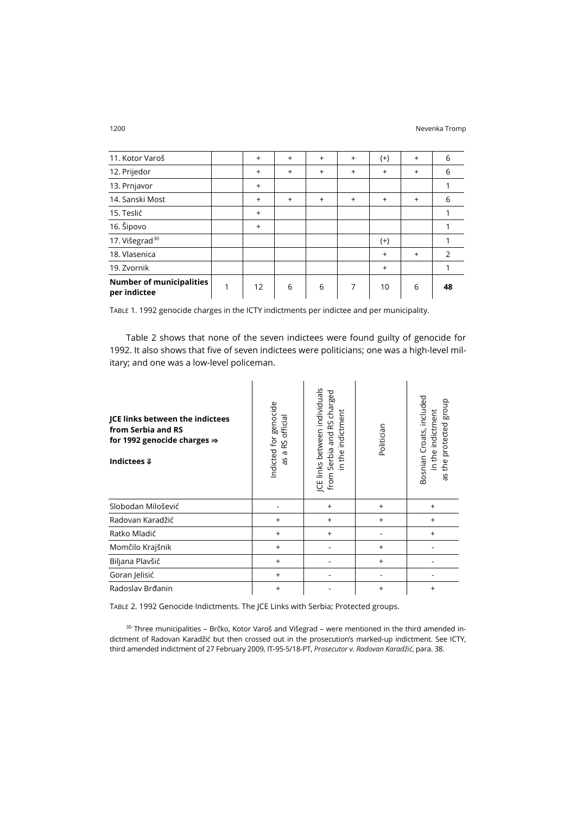| 11. Kotor Varoš                                 | $^{+}$    | $+$       | $+$ | $^{+}$    | $^{(+)}$ | $^{+}$    | 6             |
|-------------------------------------------------|-----------|-----------|-----|-----------|----------|-----------|---------------|
| 12. Prijedor                                    | $\ddot{}$ | $\ddot{}$ | $+$ | $\ddot{}$ | $^{+}$   | $^{+}$    | 6             |
| 13. Prnjavor                                    | $\ddot{}$ |           |     |           |          |           |               |
| 14. Sanski Most                                 | $\ddot{}$ | $+$       | $+$ | $^{+}$    | $^{+}$   | $\ddot{}$ | 6             |
| 15. Teslić                                      | $\ddot{}$ |           |     |           |          |           |               |
| 16. Šipovo                                      | $\ddot{}$ |           |     |           |          |           |               |
| 17. Višegrad <sup>30</sup>                      |           |           |     |           | $^{(+)}$ |           |               |
| 18. Vlasenica                                   |           |           |     |           | $^{+}$   | $\ddot{}$ | $\mathcal{P}$ |
| 19. Zvornik                                     |           |           |     |           | $^{+}$   |           |               |
| <b>Number of municipalities</b><br>per indictee | 12        | 6         | 6   | 7         | 10       | 6         | 48            |

TABLE 1. 1992 genocide charges in the ICTY indictments per indictee and per municipality.

Table 2 shows that none of the seven indictees were found guilty of genocide for 1992. It also shows that five of seven indictees were politicians; one was a high-level military; and one was a low-level policeman.

| JCE links between the indictees<br>from Serbia and RS<br>for 1992 genocide charges $\Rightarrow$<br>Indictees $\Downarrow$ | Indicted for genocide<br>RS official<br>$\boldsymbol{\sigma}$<br>æ | JCE links between individuals<br>from Serbia and RS charged<br>in the indictment | Politician | Bosnian Croats, included<br>the protected group<br>in the indictment<br>as |
|----------------------------------------------------------------------------------------------------------------------------|--------------------------------------------------------------------|----------------------------------------------------------------------------------|------------|----------------------------------------------------------------------------|
| Slobodan Milošević                                                                                                         |                                                                    | $\ddot{}$                                                                        | $\ddot{}$  | $^{+}$                                                                     |
| Radovan Karadžić                                                                                                           | $\ddot{}$                                                          | $\ddot{}$                                                                        | $\ddot{}$  | $\ddot{}$                                                                  |
| Ratko Mladić                                                                                                               | $^{+}$                                                             | $\ddot{}$                                                                        |            | $\ddot{}$                                                                  |
| Momčilo Krajšnik                                                                                                           | $\ddot{}$                                                          |                                                                                  | $\ddot{}$  |                                                                            |
| Biljana Plavšić                                                                                                            | $\ddot{}$                                                          |                                                                                  | $\ddot{}$  |                                                                            |
| Goran Jelisić                                                                                                              | $\ddot{}$                                                          |                                                                                  |            |                                                                            |
| Radoslav Brđanin                                                                                                           | $\ddot{}$                                                          |                                                                                  | $\ddot{}$  | $\ddot{}$                                                                  |

TABLE 2. 1992 Genocide Indictments. The JCE Links with Serbia; Protected groups.

<span id="page-10-0"></span><sup>30</sup> Three municipalities - Brčko, Kotor Varoš and Višegrad - were mentioned in the third amended indictment of Radovan Karadžić but then crossed out in the prosecution's marked-up indictment. See ICTY, third amended indictment of 27 February 2009, IT-95-5/18-PT, *Prosecutor v. Radovan Karadžić*, para. 38.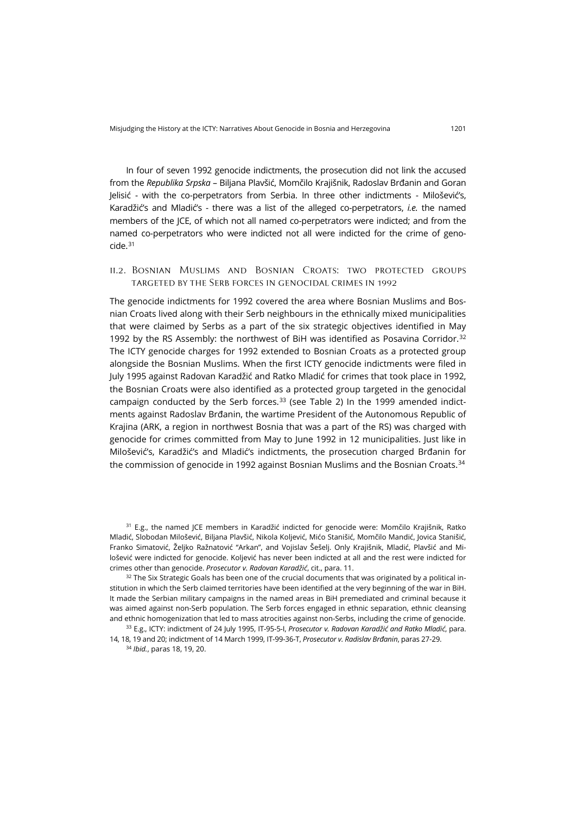In four of seven 1992 genocide indictments, the prosecution did not link the accused from the *Republika Srpska* – Biljana Plavšić, Momčilo Krajišnik, Radoslav Brđanin and Goran Jelisić - with the co-perpetrators from Serbia. In three other indictments - Milošević's, Karadžić's and Mladić's - there was a list of the alleged co-perpetrators, *i.e.* the named members of the JCE, of which not all named co-perpetrators were indicted; and from the named co-perpetrators who were indicted not all were indicted for the crime of genocide.[31](#page-11-0)

ii.2. Bosnian Muslims and Bosnian Croats: two protected groups targeted by the Serb forces in genocidal crimes in 1992

The genocide indictments for 1992 covered the area where Bosnian Muslims and Bosnian Croats lived along with their Serb neighbours in the ethnically mixed municipalities that were claimed by Serbs as a part of the six strategic objectives identified in May 1992 by the RS Assembly: the northwest of BiH was identified as Posavina Corridor.<sup>[32](#page-11-1)</sup> The ICTY genocide charges for 1992 extended to Bosnian Croats as a protected group alongside the Bosnian Muslims. When the first ICTY genocide indictments were filed in July 1995 against Radovan Karadžić and Ratko Mladić for crimes that took place in 1992, the Bosnian Croats were also identified as a protected group targeted in the genocidal campaign conducted by the Serb forces. $33$  (see Table 2) In the 1999 amended indictments against Radoslav Brđanin, the wartime President of the Autonomous Republic of Krajina (ARK, a region in northwest Bosnia that was a part of the RS) was charged with genocide for crimes committed from May to June 1992 in 12 municipalities. Just like in Milošević's, Karadžić's and Mladić's indictments, the prosecution charged Brđanin for the commission of genocide in 1992 against Bosnian Muslims and the Bosnian Croats.<sup>[34](#page-11-3)</sup>

<span id="page-11-0"></span><sup>31</sup> E.g., the named JCE members in Karadžić indicted for genocide were: Momčilo Krajišnik, Ratko Mladić, Slobodan Milošević, Biljana Plavšić, Nikola Koljević, Mićo Stanišić, Momčilo Mandić, Jovica Stanišić, Franko Simatović, Željko Ražnatović "Arkan", and Vojislav Šešelj. Only Krajišnik, Mladić, Plavšić and Milošević were indicted for genocide. Koljević has never been indicted at all and the rest were indicted for crimes other than genocide. *Prosecutor v. Radovan Karadžić*, cit., para. 11.

<span id="page-11-1"></span> $32$  The Six Strategic Goals has been one of the crucial documents that was originated by a political institution in which the Serb claimed territories have been identified at the very beginning of the war in BiH. It made the Serbian military campaigns in the named areas in BiH premediated and criminal because it was aimed against non-Serb population. The Serb forces engaged in ethnic separation, ethnic cleansing and ethnic homogenization that led to mass atrocities against non-Serbs, including the crime of genocide.

<span id="page-11-3"></span><span id="page-11-2"></span><sup>33</sup> E.g., ICTY: indictment of 24 July 1995, IT-95-5-I, *Prosecutor v. Radovan Karadžić and Ratko Mladić*, para. 14, 18, 19 and 20; indictment of 14 March 1999, IT-99-36-T, *Prosecutor v. Radislav Brđanin*, paras 27-29.

<sup>34</sup> *Ibid.*, paras 18, 19, 20.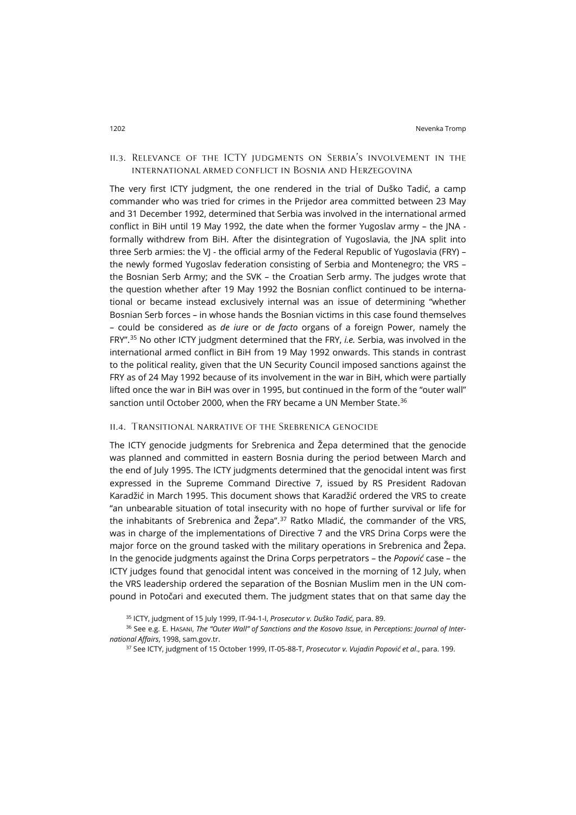## ii.3. Relevance of the ICTY judgments on Serbia's involvement in the international armed conflict in Bosnia and Herzegovina

The very first ICTY judgment, the one rendered in the trial of Duško Tadić, a camp commander who was tried for crimes in the Prijedor area committed between 23 May and 31 December 1992, determined that Serbia was involved in the international armed conflict in BiH until 19 May 1992, the date when the former Yugoslav army – the JNA formally withdrew from BiH. After the disintegration of Yugoslavia, the JNA split into three Serb armies: the VJ - the official army of the Federal Republic of Yugoslavia (FRY) the newly formed Yugoslav federation consisting of Serbia and Montenegro; the VRS – the Bosnian Serb Army; and the SVK – the Croatian Serb army. The judges wrote that the question whether after 19 May 1992 the Bosnian conflict continued to be international or became instead exclusively internal was an issue of determining "whether Bosnian Serb forces – in whose hands the Bosnian victims in this case found themselves – could be considered as *de iure* or *de facto* organs of a foreign Power, namely the FRY".[35](#page-12-0) No other ICTY judgment determined that the FRY, *i.e.* Serbia, was involved in the international armed conflict in BiH from 19 May 1992 onwards. This stands in contrast to the political reality, given that the UN Security Council imposed sanctions against the FRY as of 24 May 1992 because of its involvement in the war in BiH, which were partially lifted once the war in BiH was over in 1995, but continued in the form of the "outer wall" sanction until October 2000, when the FRY became a UN Member State. [36](#page-12-1)

### ii.4. Transitional narrative of the Srebrenica genocide

The ICTY genocide judgments for Srebrenica and Žepa determined that the genocide was planned and committed in eastern Bosnia during the period between March and the end of July 1995. The ICTY judgments determined that the genocidal intent was first expressed in the Supreme Command Directive 7, issued by RS President Radovan Karadžić in March 1995. This document shows that Karadžić ordered the VRS to create "an unbearable situation of total insecurity with no hope of further survival or life for the inhabitants of Srebrenica and Žepa".[37](#page-12-2) Ratko Mladić, the commander of the VRS, was in charge of the implementations of Directive 7 and the VRS Drina Corps were the major force on the ground tasked with the military operations in Srebrenica and Žepa. In the genocide judgments against the Drina Corps perpetrators – the *Popović* case – the ICTY judges found that genocidal intent was conceived in the morning of 12 July, when the VRS leadership ordered the separation of the Bosnian Muslim men in the UN compound in Potočari and executed them. The judgment states that on that same day the

<sup>35</sup> ICTY, judgment of 15 July 1999, IT-94-1-I, *Prosecutor v. Duško Tadić*, para. 89.

<span id="page-12-2"></span><span id="page-12-1"></span><span id="page-12-0"></span><sup>36</sup> See e.g. E. HASANI, *The "Outer Wall" of Sanctions and the Kosovo Issue*, in *Perceptions: Journal of International Affairs*, 1998[, sam.gov.tr](http://sam.gov.tr/pdf/perceptions/Volume-III/september-november-1998/ENVER-HASANI.pdf).

<sup>37</sup> See ICTY, judgment of 15 October 1999, IT-05-88-T, *Prosecutor v. Vujadin Popović et al*., para. 199.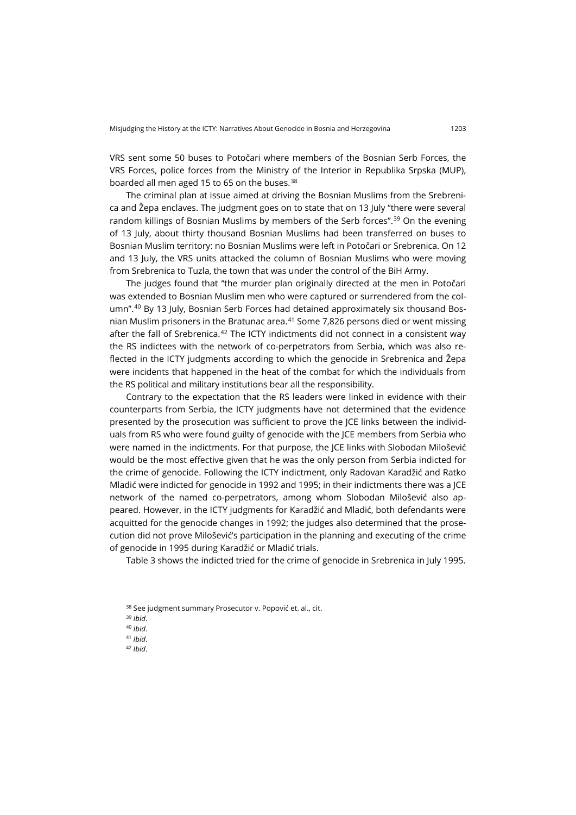VRS sent some 50 buses to Potočari where members of the Bosnian Serb Forces, the VRS Forces, police forces from the Ministry of the Interior in Republika Srpska (MUP), boarded all men aged 15 to 65 on the buses.<sup>[38](#page-13-0)</sup>

The criminal plan at issue aimed at driving the Bosnian Muslims from the Srebrenica and Žepa enclaves. The judgment goes on to state that on 13 July "there were several random killings of Bosnian Muslims by members of the Serb forces".<sup>[39](#page-13-1)</sup> On the evening of 13 July, about thirty thousand Bosnian Muslims had been transferred on buses to Bosnian Muslim territory: no Bosnian Muslims were left in Potočari or Srebrenica. On 12 and 13 July, the VRS units attacked the column of Bosnian Muslims who were moving from Srebrenica to Tuzla, the town that was under the control of the BiH Army.

The judges found that "the murder plan originally directed at the men in Potočari was extended to Bosnian Muslim men who were captured or surrendered from the column".[40](#page-13-2) By 13 July, Bosnian Serb Forces had detained approximately six thousand Bosnian Muslim prisoners in the Bratunac area. $41$  Some 7,826 persons died or went missing after the fall of Srebrenica. $42$  The ICTY indictments did not connect in a consistent way the RS indictees with the network of co-perpetrators from Serbia, which was also reflected in the ICTY judgments according to which the genocide in Srebrenica and Žepa were incidents that happened in the heat of the combat for which the individuals from the RS political and military institutions bear all the responsibility.

Contrary to the expectation that the RS leaders were linked in evidence with their counterparts from Serbia, the ICTY judgments have not determined that the evidence presented by the prosecution was sufficient to prove the JCE links between the individuals from RS who were found guilty of genocide with the JCE members from Serbia who were named in the indictments. For that purpose, the JCE links with Slobodan Milošević would be the most effective given that he was the only person from Serbia indicted for the crime of genocide. Following the ICTY indictment, only Radovan Karadžić and Ratko Mladić were indicted for genocide in 1992 and 1995; in their indictments there was a JCE network of the named co-perpetrators, among whom Slobodan Milošević also appeared. However, in the ICTY judgments for Karadžić and Mladić, both defendants were acquitted for the genocide changes in 1992; the judges also determined that the prosecution did not prove Milošević's participation in the planning and executing of the crime of genocide in 1995 during Karadžić or Mladić trials.

Table 3 shows the indicted tried for the crime of genocide in Srebrenica in July 1995.

- <span id="page-13-3"></span><sup>41</sup> *Ibid*.
- <span id="page-13-4"></span><sup>42</sup> *Ibid*.

<span id="page-13-0"></span><sup>38</sup> See judgment summary Prosecutor v. Popović et. al., cit.

<span id="page-13-1"></span><sup>39</sup> *Ibid*.

<span id="page-13-2"></span><sup>40</sup> *Ibid*.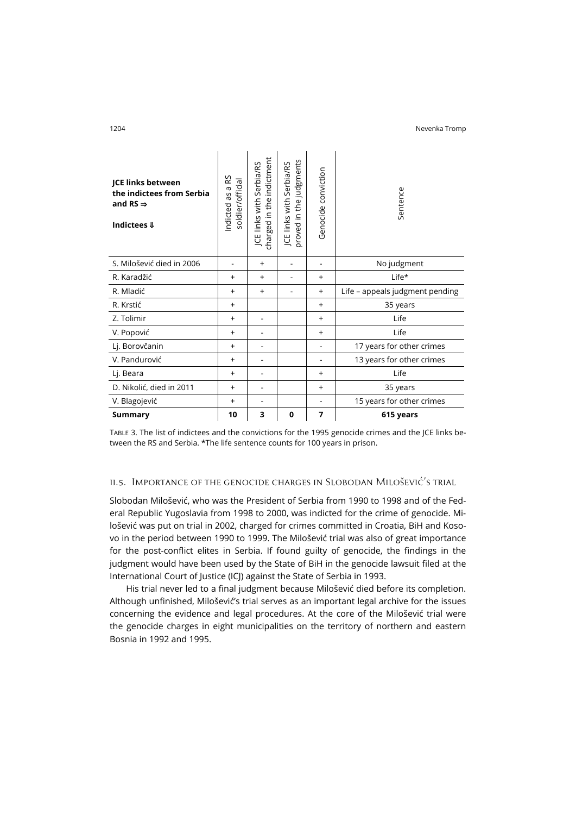| indictment | ۲<br>bia/RS<br>ment<br>Judgr<br>ğ | nviction<br>⊼ |  |
|------------|-----------------------------------|---------------|--|

| <b>JCE links between</b><br>the indictees from Serbia<br>and RS $\Rightarrow$<br>Indictees $\boldsymbol{\Downarrow}$ | S<br>soldier/official<br>$\simeq$<br>σ<br>SP<br>Indicted | charged in the indictment<br>Serbia/RS<br>JCE links with | judgments<br>JCE links with Serbia/RS<br>proved in the | Genocide conviction | Sentence                        |  |
|----------------------------------------------------------------------------------------------------------------------|----------------------------------------------------------|----------------------------------------------------------|--------------------------------------------------------|---------------------|---------------------------------|--|
| S. Milošević died in 2006                                                                                            |                                                          | $\ddot{}$                                                |                                                        |                     | No judgment                     |  |
| R. Karadžić                                                                                                          | $\ddot{}$                                                | $\ddot{}$                                                |                                                        | $^{+}$              | Life*                           |  |
| R. Mladić                                                                                                            | $\ddot{}$                                                | $\ddot{}$                                                |                                                        | $^{+}$              | Life - appeals judgment pending |  |
| R. Krstić                                                                                                            | $\ddot{}$                                                |                                                          |                                                        | $^{+}$              | 35 years                        |  |
| Z. Tolimir                                                                                                           | $\ddot{}$                                                |                                                          |                                                        | $^{+}$              | Life                            |  |
| V. Popović                                                                                                           | $\ddot{}$                                                |                                                          |                                                        | $^{+}$              | Life                            |  |
| Lj. Borovčanin                                                                                                       | $\ddot{}$                                                |                                                          |                                                        |                     | 17 years for other crimes       |  |
| V. Pandurović                                                                                                        | $\ddot{}$                                                |                                                          |                                                        |                     | 13 years for other crimes       |  |
| Lj. Beara                                                                                                            | $^{+}$                                                   |                                                          |                                                        | $\ddot{}$           | Life                            |  |
| D. Nikolić, died in 2011                                                                                             | $\ddot{}$                                                |                                                          |                                                        | $\ddot{}$           | 35 years                        |  |
| V. Blagojević                                                                                                        | $\ddot{}$                                                |                                                          |                                                        |                     | 15 years for other crimes       |  |
| Summary                                                                                                              | 10                                                       | 3                                                        | $\mathbf 0$                                            | 7                   | 615 years                       |  |

TABLE 3. The list of indictees and the convictions for the 1995 genocide crimes and the JCE links between the RS and Serbia. \*The life sentence counts for 100 years in prison.

## ii.s. Importance of the genocide charges in Slobodan Milošević's trial

Slobodan Milošević, who was the President of Serbia from 1990 to 1998 and of the Federal Republic Yugoslavia from 1998 to 2000, was indicted for the crime of genocide. Milošević was put on trial in 2002, charged for crimes committed in Croatia, BiH and Kosovo in the period between 1990 to 1999. The Milošević trial was also of great importance for the post-conflict elites in Serbia. If found guilty of genocide, the findings in the judgment would have been used by the State of BiH in the genocide lawsuit filed at the International Court of Justice (ICJ) against the State of Serbia in 1993.

His trial never led to a final judgment because Milošević died before its completion. Although unfinished, Milošević's trial serves as an important legal archive for the issues concerning the evidence and legal procedures. At the core of the Milošević trial were the genocide charges in eight municipalities on the territory of northern and eastern Bosnia in 1992 and 1995.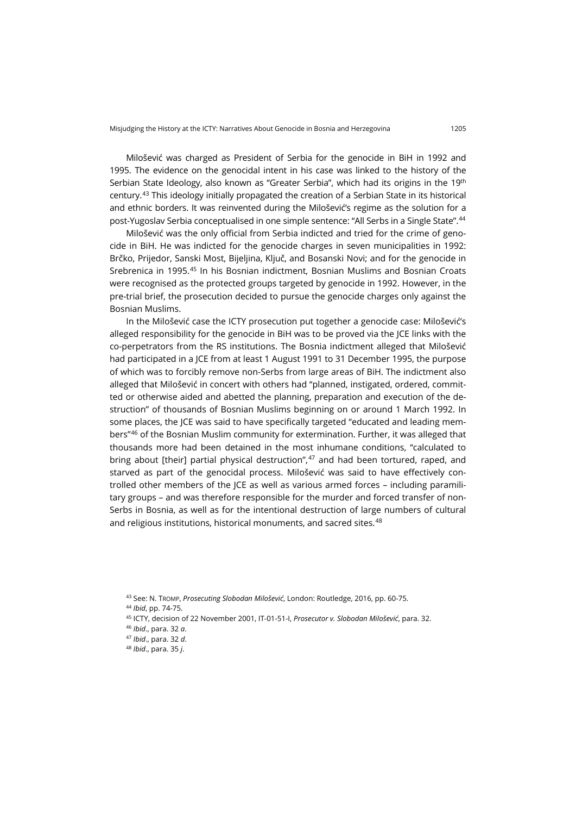Milošević was charged as President of Serbia for the genocide in BiH in 1992 and 1995. The evidence on the genocidal intent in his case was linked to the history of the Serbian State Ideology, also known as "Greater Serbia", which had its origins in the 19<sup>th</sup> century.[43](#page-15-0) This ideology initially propagated the creation of a Serbian State in its historical and ethnic borders. It was reinvented during the Milošević's regime as the solution for a post-Yugoslav Serbia conceptualised in one simple sentence: "All Serbs in a Single State".[44](#page-15-1)

Milošević was the only official from Serbia indicted and tried for the crime of genocide in BiH. He was indicted for the genocide charges in seven municipalities in 1992: Brčko, Prijedor, Sanski Most, Bijeljina, Ključ, and Bosanski Novi; and for the genocide in Srebrenica in 1995.<sup>[45](#page-15-2)</sup> In his Bosnian indictment, Bosnian Muslims and Bosnian Croats were recognised as the protected groups targeted by genocide in 1992. However, in the pre-trial brief, the prosecution decided to pursue the genocide charges only against the Bosnian Muslims.

In the Milošević case the ICTY prosecution put together a genocide case: Milošević's alleged responsibility for the genocide in BiH was to be proved via the JCE links with the co-perpetrators from the RS institutions. The Bosnia indictment alleged that Milošević had participated in a JCE from at least 1 August 1991 to 31 December 1995, the purpose of which was to forcibly remove non-Serbs from large areas of BiH. The indictment also alleged that Milošević in concert with others had "planned, instigated, ordered, committed or otherwise aided and abetted the planning, preparation and execution of the destruction" of thousands of Bosnian Muslims beginning on or around 1 March 1992. In some places, the JCE was said to have specifically targeted "educated and leading members"[46](#page-15-3) of the Bosnian Muslim community for extermination. Further, it was alleged that thousands more had been detained in the most inhumane conditions, "calculated to bring about [their] partial physical destruction", $47$  and had been tortured, raped, and starved as part of the genocidal process. Milošević was said to have effectively controlled other members of the JCE as well as various armed forces – including paramilitary groups – and was therefore responsible for the murder and forced transfer of non-Serbs in Bosnia, as well as for the intentional destruction of large numbers of cultural and religious institutions, historical monuments, and sacred sites.<sup>[48](#page-15-5)</sup>

- <span id="page-15-1"></span><sup>44</sup> *Ibid*, pp. 74-75.
- <span id="page-15-2"></span><sup>45</sup> ICTY, decision of 22 November 2001, IT-01-51-I, *Prosecutor v. Slobodan Milošević*, para. 32.

<span id="page-15-5"></span><sup>48</sup> *Ibid*., para. 35 *j*.

<span id="page-15-0"></span><sup>43</sup> See: N. TROMP, *Prosecuting Slobodan Milošević*, London: Routledge, 2016, pp. 60-75.

<span id="page-15-3"></span><sup>46</sup> *Ibid*., para. 32 *a*.

<span id="page-15-4"></span><sup>47</sup> *Ibid*., para. 32 *d*.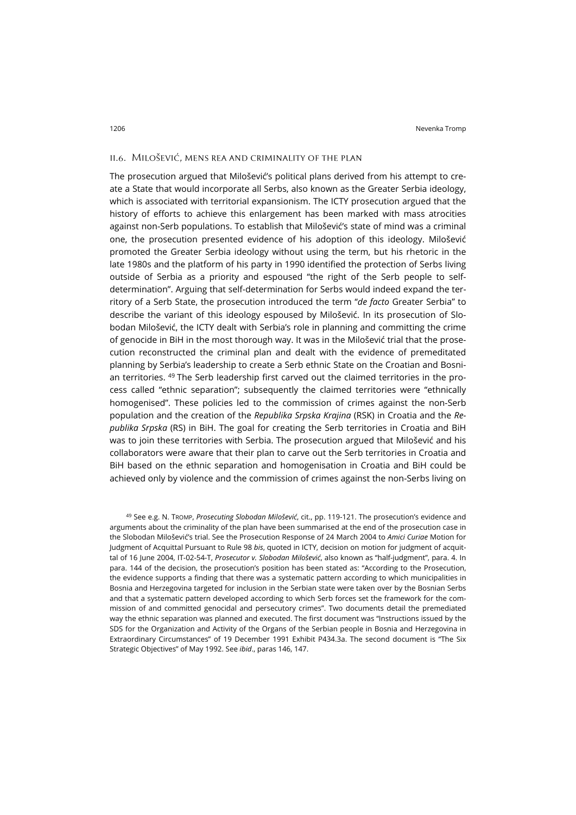#### ii.6. Milošević, mens rea and criminality of the plan

The prosecution argued that Milošević's political plans derived from his attempt to create a State that would incorporate all Serbs, also known as the Greater Serbia ideology, which is associated with territorial expansionism. The ICTY prosecution argued that the history of efforts to achieve this enlargement has been marked with mass atrocities against non-Serb populations. To establish that Milošević's state of mind was a criminal one, the prosecution presented evidence of his adoption of this ideology. Milošević promoted the Greater Serbia ideology without using the term, but his rhetoric in the late 1980s and the platform of his party in 1990 identified the protection of Serbs living outside of Serbia as a priority and espoused "the right of the Serb people to selfdetermination". Arguing that self-determination for Serbs would indeed expand the territory of a Serb State, the prosecution introduced the term "*de facto* Greater Serbia" to describe the variant of this ideology espoused by Milošević. In its prosecution of Slobodan Milošević, the ICTY dealt with Serbia's role in planning and committing the crime of genocide in BiH in the most thorough way. It was in the Milošević trial that the prosecution reconstructed the criminal plan and dealt with the evidence of premeditated planning by Serbia's leadership to create a Serb ethnic State on the Croatian and Bosnian territories. [49](#page-16-0) The Serb leadership first carved out the claimed territories in the process called "ethnic separation"; subsequently the claimed territories were "ethnically homogenised". These policies led to the commission of crimes against the non-Serb population and the creation of the *Republika Srpska Krajina* (RSK) in Croatia and the *Republika Srpska* (RS) in BiH. The goal for creating the Serb territories in Croatia and BiH was to join these territories with Serbia. The prosecution argued that Milošević and his collaborators were aware that their plan to carve out the Serb territories in Croatia and BiH based on the ethnic separation and homogenisation in Croatia and BiH could be achieved only by violence and the commission of crimes against the non-Serbs living on

<span id="page-16-0"></span><sup>49</sup> See e.g. N. TROMP, *Prosecuting Slobodan Milošević*, cit., pp. 119-121. The prosecution's evidence and arguments about the criminality of the plan have been summarised at the end of the prosecution case in the Slobodan Milošević's trial. See the Prosecution Response of 24 March 2004 to *Amici Curiae* Motion for Judgment of Acquittal Pursuant to Rule 98 *bis*, quoted in ICTY, decision on motion for judgment of acquittal of 16 June 2004, IT-02-54-T, *Prosecutor v. Slobodan Milošević*, also known as "half-judgment", para. 4. In para. 144 of the decision, the prosecution's position has been stated as: "According to the Prosecution, the evidence supports a finding that there was a systematic pattern according to which municipalities in Bosnia and Herzegovina targeted for inclusion in the Serbian state were taken over by the Bosnian Serbs and that a systematic pattern developed according to which Serb forces set the framework for the commission of and committed genocidal and persecutory crimes". Two documents detail the premediated way the ethnic separation was planned and executed. The first document was "Instructions issued by the SDS for the Organization and Activity of the Organs of the Serbian people in Bosnia and Herzegovina in Extraordinary Circumstances" of 19 December 1991 Exhibit P434.3a. The second document is "The Six Strategic Objectives" of May 1992. See *ibid*., paras 146, 147.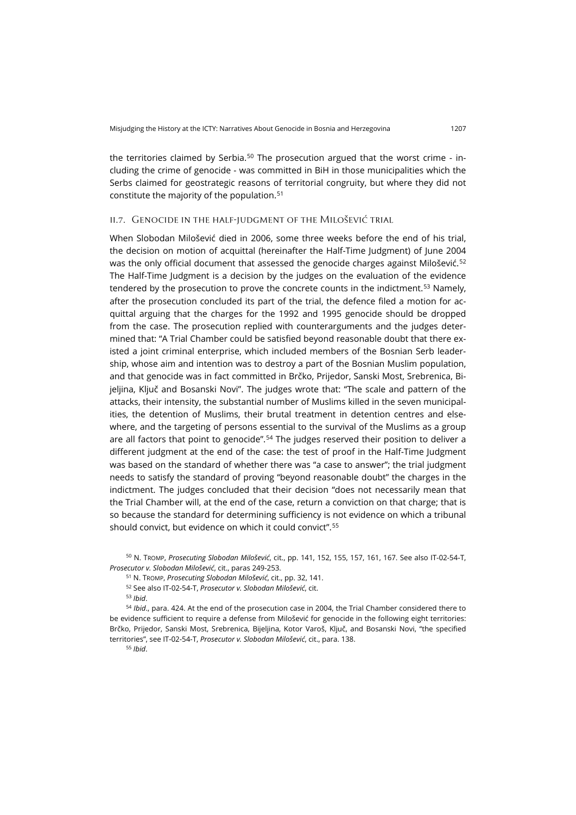the territories claimed by Serbia.<sup>[50](#page-17-0)</sup> The prosecution argued that the worst crime - including the crime of genocide - was committed in BiH in those municipalities which the Serbs claimed for geostrategic reasons of territorial congruity, but where they did not constitute the majority of the population.[51](#page-17-1)

#### ii.7. Genocide in the half-judgment of the Milošević trial

When Slobodan Milošević died in 2006, some three weeks before the end of his trial, the decision on motion of acquittal (hereinafter the Half-Time Judgment) of June 2004 was the only official document that assessed the genocide charges against Milošević.<sup>[52](#page-17-2)</sup> The Half-Time Judgment is a decision by the judges on the evaluation of the evidence tendered by the prosecution to prove the concrete counts in the indictment.<sup>[53](#page-17-3)</sup> Namely, after the prosecution concluded its part of the trial, the defence filed a motion for acquittal arguing that the charges for the 1992 and 1995 genocide should be dropped from the case. The prosecution replied with counterarguments and the judges determined that: "A Trial Chamber could be satisfied beyond reasonable doubt that there existed a joint criminal enterprise, which included members of the Bosnian Serb leadership, whose aim and intention was to destroy a part of the Bosnian Muslim population, and that genocide was in fact committed in Brčko, Prijedor, Sanski Most, Srebrenica, Bijeljina, Ključ and Bosanski Novi". The judges wrote that: "The scale and pattern of the attacks, their intensity, the substantial number of Muslims killed in the seven municipalities, the detention of Muslims, their brutal treatment in detention centres and elsewhere, and the targeting of persons essential to the survival of the Muslims as a group are all factors that point to genocide".<sup>[54](#page-17-4)</sup> The judges reserved their position to deliver a different judgment at the end of the case: the test of proof in the Half-Time Judgment was based on the standard of whether there was "a case to answer"; the trial judgment needs to satisfy the standard of proving "beyond reasonable doubt" the charges in the indictment. The judges concluded that their decision "does not necessarily mean that the Trial Chamber will, at the end of the case, return a conviction on that charge; that is so because the standard for determining sufficiency is not evidence on which a tribunal should convict, but evidence on which it could convict".[55](#page-17-5)

<span id="page-17-1"></span><span id="page-17-0"></span><sup>50</sup> N. TROMP, *Prosecuting Slobodan Milošević*, cit., pp. 141, 152, 155, 157, 161, 167. See also IT-02-54-T, *Prosecutor v. Slobodan Milošević*, cit., paras 249-253.

<sup>51</sup> N. TROMP, *Prosecuting Slobodan Milošević*, cit., pp. 32, 141.

<sup>52</sup> See also IT-02-54-T, *Prosecutor v. Slobodan Milošević*, cit.

<sup>53</sup> *Ibid*.

<span id="page-17-5"></span><span id="page-17-4"></span><span id="page-17-3"></span><span id="page-17-2"></span><sup>54</sup> *Ibid*., para. 424. At the end of the prosecution case in 2004, the Trial Chamber considered there to be evidence sufficient to require a defense from Milošević for genocide in the following eight territories: Brčko, Prijedor, Sanski Most, Srebrenica, Bijeljina, Kotor Varoš, Ključ, and Bosanski Novi, "the specified territories", see IT-02-54-T, *Prosecutor v. Slobodan Milošević*, cit., para. 138.

<sup>55</sup> *Ibid*.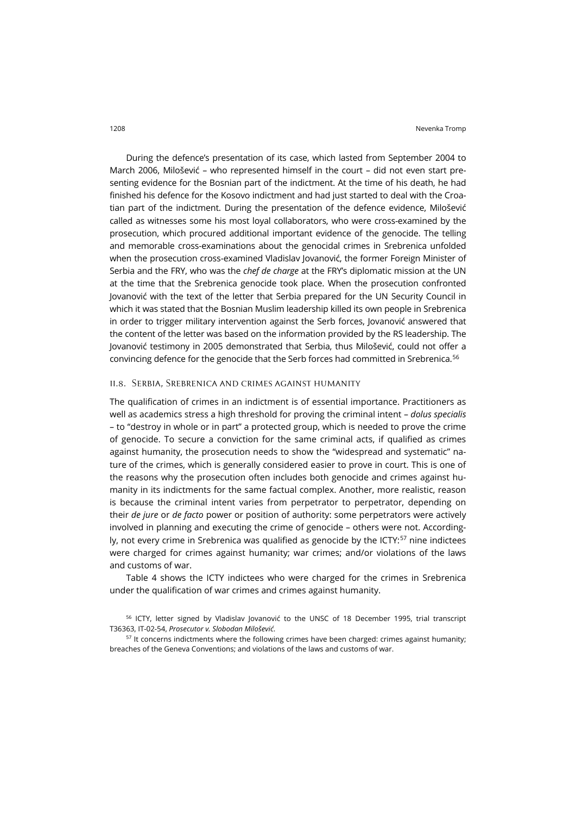During the defence's presentation of its case, which lasted from September 2004 to March 2006, Milošević – who represented himself in the court – did not even start presenting evidence for the Bosnian part of the indictment. At the time of his death, he had finished his defence for the Kosovo indictment and had just started to deal with the Croatian part of the indictment. During the presentation of the defence evidence, Milošević called as witnesses some his most loyal collaborators, who were cross-examined by the prosecution, which procured additional important evidence of the genocide. The telling and memorable cross-examinations about the genocidal crimes in Srebrenica unfolded when the prosecution cross-examined Vladislav Jovanović, the former Foreign Minister of Serbia and the FRY, who was the *chef de charge* at the FRY's diplomatic mission at the UN at the time that the Srebrenica genocide took place. When the prosecution confronted Jovanović with the text of the letter that Serbia prepared for the UN Security Council in which it was stated that the Bosnian Muslim leadership killed its own people in Srebrenica in order to trigger military intervention against the Serb forces, Jovanović answered that the content of the letter was based on the information provided by the RS leadership. The Jovanović testimony in 2005 demonstrated that Serbia, thus Milošević, could not offer a convincing defence for the genocide that the Serb forces had committed in Srebrenica.[56](#page-18-0)

#### ii.8. Serbia, Srebrenica and crimes against humanity

The qualification of crimes in an indictment is of essential importance. Practitioners as well as academics stress a high threshold for proving the criminal intent – *dolus specialis* – to "destroy in whole or in part" a protected group, which is needed to prove the crime of genocide. To secure a conviction for the same criminal acts, if qualified as crimes against humanity, the prosecution needs to show the "widespread and systematic" nature of the crimes, which is generally considered easier to prove in court. This is one of the reasons why the prosecution often includes both genocide and crimes against humanity in its indictments for the same factual complex. Another, more realistic, reason is because the criminal intent varies from perpetrator to perpetrator, depending on their *de jure* or *de facto* power or position of authority: some perpetrators were actively involved in planning and executing the crime of genocide – others were not. Accordingly, not every crime in Srebrenica was qualified as genocide by the  $ICT:57$  $ICT:57$  nine indictees were charged for crimes against humanity; war crimes; and/or violations of the laws and customs of war.

Table 4 shows the ICTY indictees who were charged for the crimes in Srebrenica under the qualification of war crimes and crimes against humanity.

<span id="page-18-0"></span><sup>&</sup>lt;sup>56</sup> ICTY, letter signed by Vladislav Jovanović to the UNSC of 18 December 1995, trial transcript T36363, IT-02-54, *Prosecutor v. Slobodan Milošević*.

<span id="page-18-1"></span><sup>&</sup>lt;sup>57</sup> It concerns indictments where the following crimes have been charged: crimes against humanity; breaches of the Geneva Conventions; and violations of the laws and customs of war.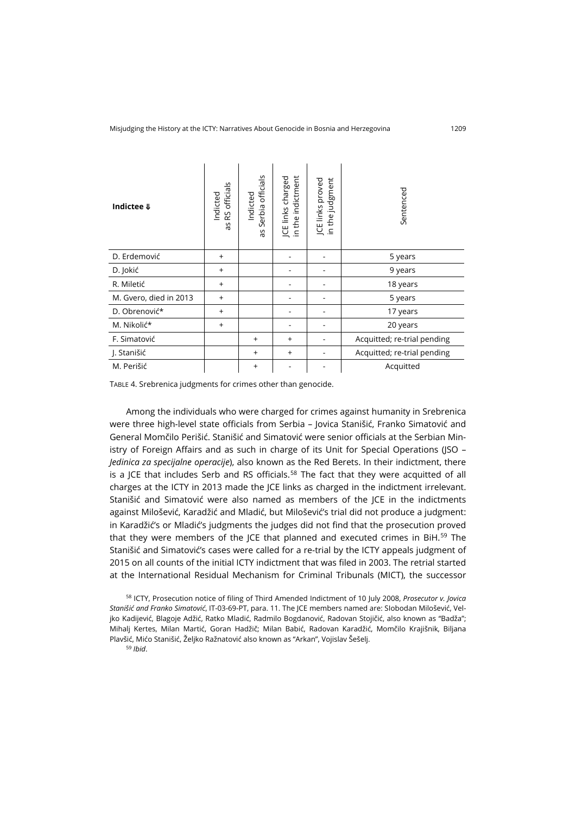| Indictee $\Downarrow$  | RS officials<br>Indicted<br>S<br>ω | officials<br>Indicted<br>erbia<br>Ū<br>δp | JCE links charged<br>in the indictment | in the judgment<br>JCE links proved | Sentenced                   |
|------------------------|------------------------------------|-------------------------------------------|----------------------------------------|-------------------------------------|-----------------------------|
| D. Erdemović           | $^{+}$                             |                                           |                                        |                                     | 5 years                     |
| D. Jokić               | $^{+}$                             |                                           |                                        |                                     | 9 years                     |
| R. Miletić             | $\ddot{}$                          |                                           |                                        |                                     | 18 years                    |
| M. Gvero, died in 2013 | $\ddot{}$                          |                                           |                                        |                                     | 5 years                     |
| D. Obrenović*          | $\ddot{}$                          |                                           |                                        |                                     | 17 years                    |
| M. Nikolić*            | $^{+}$                             |                                           |                                        |                                     | 20 years                    |
| F. Simatović           |                                    | $\ddot{}$                                 | $^{+}$                                 |                                     | Acquitted; re-trial pending |
| J. Stanišić            |                                    | $\ddot{}$                                 | $\ddot{}$                              |                                     | Acquitted; re-trial pending |
| M. Perišić             |                                    | $\ddot{}$                                 |                                        |                                     | Acquitted                   |

TABLE 4. Srebrenica judgments for crimes other than genocide.

Among the individuals who were charged for crimes against humanity in Srebrenica were three high-level state officials from Serbia – Jovica Stanišić, Franko Simatović and General Momčilo Perišić. Stanišić and Simatović were senior officials at the Serbian Ministry of Foreign Affairs and as such in charge of its Unit for Special Operations (ISO -*Jedinica za specijalne operacije*), also known as the Red Berets. In their indictment, there is a JCE that includes Serb and RS officials.<sup>[58](#page-19-0)</sup> The fact that they were acquitted of all charges at the ICTY in 2013 made the JCE links as charged in the indictment irrelevant. Stanišić and Simatović were also named as members of the JCE in the indictments against Milošević, Karadžić and Mladić, but Milošević's trial did not produce a judgment: in Karadžić's or Mladić's judgments the judges did not find that the prosecution proved that they were members of the JCE that planned and executed crimes in BiH.<sup>[59](#page-19-1)</sup> The Stanišić and Simatović's cases were called for a re-trial by the ICTY appeals judgment of 2015 on all counts of the initial ICTY indictment that was filed in 2003. The retrial started at the International Residual Mechanism for Criminal Tribunals (MICT), the successor

<span id="page-19-1"></span><span id="page-19-0"></span><sup>58</sup> ICTY, Prosecution notice of filing of Third Amended Indictment of 10 July 2008, *Prosecutor v. Jovica Stanišić and Franko Simatović*, IT-03-69-PT, para. 11. The JCE members named are: SIobodan Milošević, Veljko Kadijević, Blagoje Adžić, Ratko Mladić, Radmilo Bogdanović, Radovan Stojičić, also known as "Badža"; Mihalj Kertes, Milan Martić, Goran Hadžič; Milan Babić, Radovan Karadžić, Momčilo Krajišnik, Biljana Plavšić, Mićo Stanišić, Željko Ražnatović also known as "Arkan", Vojislav Šešelj.

<sup>59</sup> *Ibid*.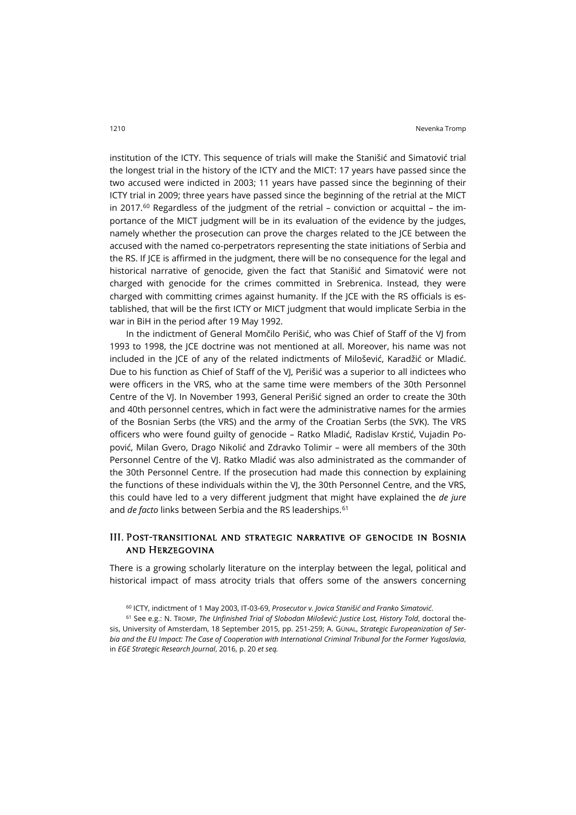institution of the ICTY. This sequence of trials will make the Stanišić and Simatović trial the longest trial in the history of the ICTY and the MICT: 17 years have passed since the two accused were indicted in 2003; 11 years have passed since the beginning of their ICTY trial in 2009; three years have passed since the beginning of the retrial at the MICT in 2017.<sup>[60](#page-20-0)</sup> Regardless of the judgment of the retrial – conviction or acquittal – the importance of the MICT judgment will be in its evaluation of the evidence by the judges, namely whether the prosecution can prove the charges related to the JCE between the accused with the named co-perpetrators representing the state initiations of Serbia and the RS. If JCE is affirmed in the judgment, there will be no consequence for the legal and historical narrative of genocide, given the fact that Stanišić and Simatović were not charged with genocide for the crimes committed in Srebrenica. Instead, they were charged with committing crimes against humanity. If the JCE with the RS officials is established, that will be the first ICTY or MICT judgment that would implicate Serbia in the war in BiH in the period after 19 May 1992.

In the indictment of General Momčilo Perišić, who was Chief of Staff of the VJ from 1993 to 1998, the JCE doctrine was not mentioned at all. Moreover, his name was not included in the JCE of any of the related indictments of Milošević, Karadžić or Mladić. Due to his function as Chief of Staff of the VJ, Perišić was a superior to all indictees who were officers in the VRS, who at the same time were members of the 30th Personnel Centre of the VJ. In November 1993, General Perišić signed an order to create the 30th and 40th personnel centres, which in fact were the administrative names for the armies of the Bosnian Serbs (the VRS) and the army of the Croatian Serbs (the SVK). The VRS officers who were found guilty of genocide – Ratko Mladić, Radislav Krstić, Vujadin Popović, Milan Gvero, Drago Nikolić and Zdravko Tolimir – were all members of the 30th Personnel Centre of the VJ. Ratko Mladić was also administrated as the commander of the 30th Personnel Centre. If the prosecution had made this connection by explaining the functions of these individuals within the VJ, the 30th Personnel Centre, and the VRS, this could have led to a very different judgment that might have explained the *de jure* and *de facto* links between Serbia and the RS leaderships.<sup>[61](#page-20-1)</sup>

## III. Post-transitional and strategic narrative of genocide in Bosnia and Herzegovina

There is a growing scholarly literature on the interplay between the legal, political and historical impact of mass atrocity trials that offers some of the answers concerning

<sup>60</sup> ICTY, indictment of 1 May 2003, IT-03-69, *Prosecutor v. Jovica Stanišić and Franko Simatović*.

<span id="page-20-1"></span><span id="page-20-0"></span><sup>61</sup> See e.g.: N. TROMP, *The Unfinished Trial of Slobodan Milošević: Justice Lost, History Told*, doctoral thesis, University of Amsterdam, 18 September 2015, pp. 251-259; A. GÜNAL, *Strategic Europeanization of Serbia and the EU Impact: The Case of Cooperation with International Criminal Tribunal for the Former Yugoslavia*, in *EGE Strategic Research Journal*, 2016, p. 20 *et seq.*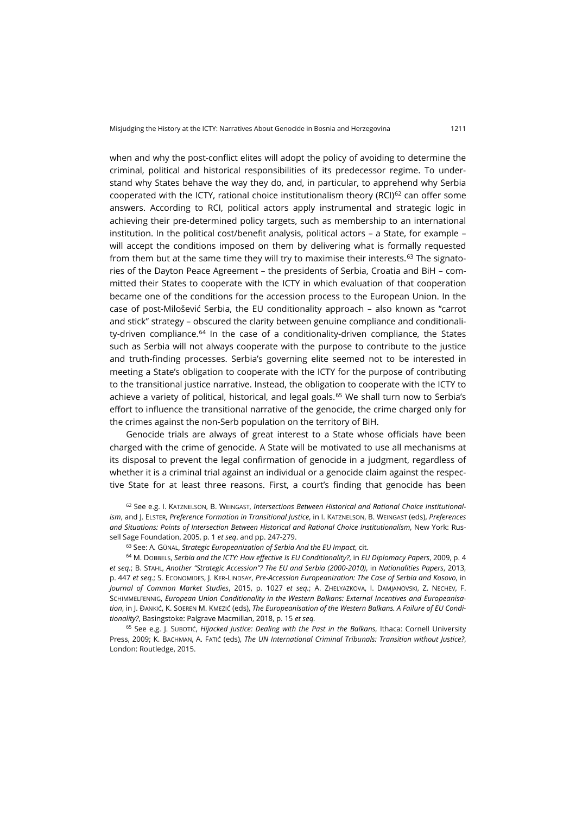when and why the post-conflict elites will adopt the policy of avoiding to determine the criminal, political and historical responsibilities of its predecessor regime. To understand why States behave the way they do, and, in particular, to apprehend why Serbia cooperated with the ICTY, rational choice institutionalism theory (RCI) $62$  can offer some answers. According to RCI, political actors apply instrumental and strategic logic in achieving their pre-determined policy targets, such as membership to an international institution. In the political cost/benefit analysis, political actors – a State, for example – will accept the conditions imposed on them by delivering what is formally requested from them but at the same time they will try to maximise their interests. $63$  The signatories of the Dayton Peace Agreement – the presidents of Serbia, Croatia and BiH – committed their States to cooperate with the ICTY in which evaluation of that cooperation became one of the conditions for the accession process to the European Union. In the case of post-Milošević Serbia, the EU conditionality approach – also known as "carrot and stick" strategy – obscured the clarity between genuine compliance and conditionality-driven compliance. $64$  In the case of a conditionality-driven compliance, the States such as Serbia will not always cooperate with the purpose to contribute to the justice and truth-finding processes. Serbia's governing elite seemed not to be interested in meeting a State's obligation to cooperate with the ICTY for the purpose of contributing to the transitional justice narrative. Instead, the obligation to cooperate with the ICTY to achieve a variety of political, historical, and legal goals.<sup>[65](#page-21-3)</sup> We shall turn now to Serbia's effort to influence the transitional narrative of the genocide, the crime charged only for the crimes against the non-Serb population on the territory of BiH.

Genocide trials are always of great interest to a State whose officials have been charged with the crime of genocide. A State will be motivated to use all mechanisms at its disposal to prevent the legal confirmation of genocide in a judgment, regardless of whether it is a criminal trial against an individual or a genocide claim against the respective State for at least three reasons. First, a court's finding that genocide has been

<span id="page-21-0"></span><sup>62</sup> See e.g. I. KATZNELSON, B. WEINGAST, *Intersections Between Historical and Rational Choice Institutionalism*, and J. ELSTER, *Preference Formation in Transitional Justice*, in I. KATZNELSON, B. WEINGAST (eds), *Preferences and Situations: Points of Intersection Between Historical and Rational Choice Institutionalism*, New York: Russell Sage Foundation, 2005, p. 1 *et seq*. and pp. 247-279.

<sup>63</sup> See: A. GÜNAL, *Strategic Europeanization of Serbia And the EU Impact*, cit.

<span id="page-21-2"></span><span id="page-21-1"></span><sup>64</sup> M. DOBBELS, *Serbia and the ICTY: How effective Is EU Conditionality?*, in *EU Diplomacy Papers*, 2009, p. 4 *et seq.*; B. STAHL, *Another "Strategic Accession"? The EU and Serbia (2000-2010)*, in *Nationalities Papers*, 2013, p. 447 *et seq.*; S. ECONOMIDES, J. KER-LINDSAY, *Pre-Accession Europeanization: The Case of Serbia and Kosovo*, in *Journal of Common Market Studies*, 2015, p. 1027 *et seq.*; A. ZHELYAZKOVA, I. DAMJANOVSKI, Z. NECHEV, F. SCHIMMELFENNIG, *European Union Conditionality in the Western Balkans: External Incentives and Europeanisation*, in J. ĐANKIĆ, K. SOEREN M. KMEZIĆ (eds), *The Europeanisation of the Western Balkans. A Failure of EU Conditionality?*, Basingstoke: Palgrave Macmillan, 2018, p. 15 *et seq.*

<span id="page-21-3"></span><sup>65</sup> See e.g. J. SUBOTIĆ, *Hijacked Justice: Dealing with the Past in the Balkans*, Ithaca: Cornell University Press, 2009; K. BACHMAN, A. FATIĆ (eds), *The UN International Criminal Tribunals: Transition without Justice?*, London: Routledge, 2015.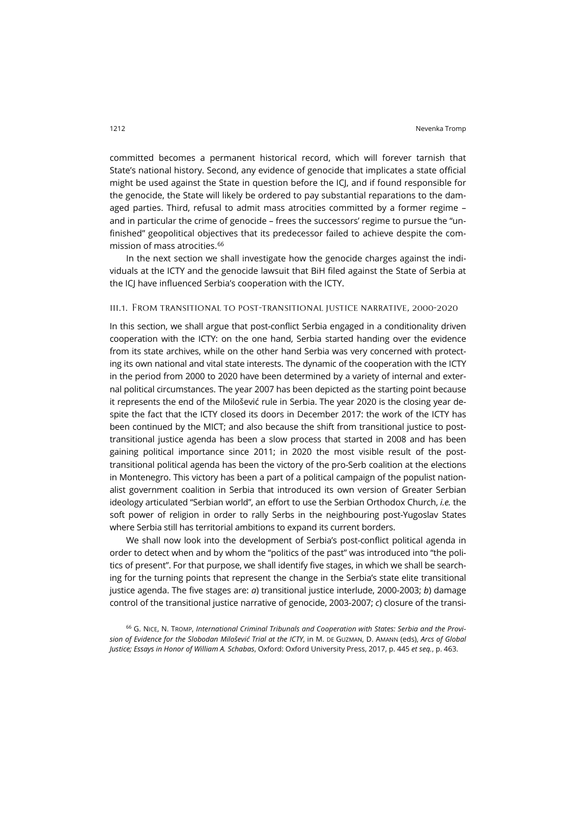committed becomes a permanent historical record, which will forever tarnish that State's national history. Second, any evidence of genocide that implicates a state official might be used against the State in question before the ICJ, and if found responsible for the genocide, the State will likely be ordered to pay substantial reparations to the damaged parties. Third, refusal to admit mass atrocities committed by a former regime – and in particular the crime of genocide – frees the successors' regime to pursue the "unfinished" geopolitical objectives that its predecessor failed to achieve despite the commission of mass atrocities.[66](#page-22-0)

In the next section we shall investigate how the genocide charges against the individuals at the ICTY and the genocide lawsuit that BiH filed against the State of Serbia at the ICJ have influenced Serbia's cooperation with the ICTY.

#### iii.1. From transitional to post-transitional justice narrative, 2000-2020

In this section, we shall argue that post-conflict Serbia engaged in a conditionality driven cooperation with the ICTY: on the one hand, Serbia started handing over the evidence from its state archives, while on the other hand Serbia was very concerned with protecting its own national and vital state interests. The dynamic of the cooperation with the ICTY in the period from 2000 to 2020 have been determined by a variety of internal and external political circumstances. The year 2007 has been depicted as the starting point because it represents the end of the Milošević rule in Serbia. The year 2020 is the closing year despite the fact that the ICTY closed its doors in December 2017: the work of the ICTY has been continued by the MICT; and also because the shift from transitional justice to posttransitional justice agenda has been a slow process that started in 2008 and has been gaining political importance since 2011; in 2020 the most visible result of the posttransitional political agenda has been the victory of the pro-Serb coalition at the elections in Montenegro. This victory has been a part of a political campaign of the populist nationalist government coalition in Serbia that introduced its own version of Greater Serbian ideology articulated "Serbian world", an effort to use the Serbian Orthodox Church, *i.e.* the soft power of religion in order to rally Serbs in the neighbouring post-Yugoslav States where Serbia still has territorial ambitions to expand its current borders.

We shall now look into the development of Serbia's post-conflict political agenda in order to detect when and by whom the "politics of the past" was introduced into "the politics of present". For that purpose, we shall identify five stages, in which we shall be searching for the turning points that represent the change in the Serbia's state elite transitional justice agenda. The five stages are: *a*) transitional justice interlude, 2000-2003; *b*) damage control of the transitional justice narrative of genocide, 2003-2007; *c*) closure of the transi-

<span id="page-22-0"></span><sup>66</sup> G. NICE, N. TROMP, *International Criminal Tribunals and Cooperation with States: Serbia and the Provision of Evidence for the Slobodan Milošević Trial at the ICTY*, in M. DE GUZMAN, D. AMANN (eds), *Arcs of Global Justice; Essays in Honor of William A. Schabas*, Oxford: Oxford University Press, 2017, p. 445 *et seq.*, p. 463.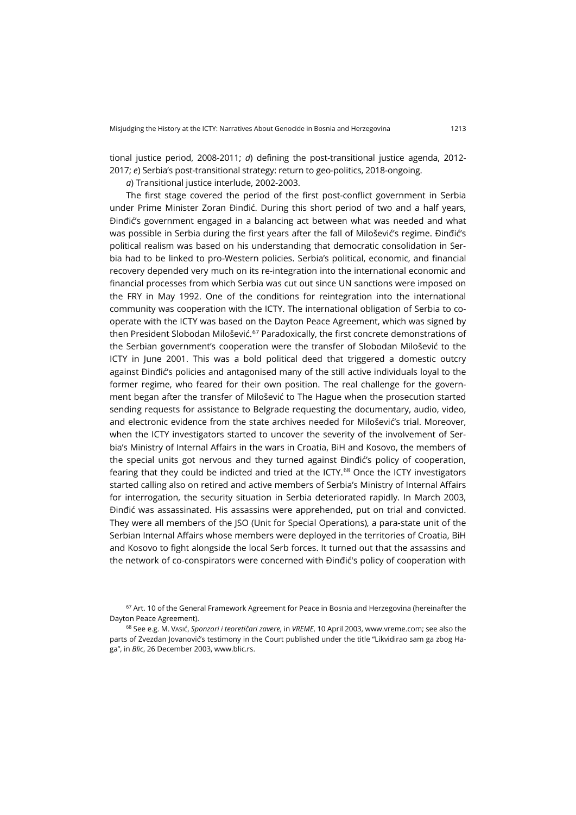tional justice period, 2008-2011; *d*) defining the post-transitional justice agenda, 2012- 2017; *e*) Serbia's post-transitional strategy: return to geo-politics, 2018-ongoing.

*a*) Transitional justice interlude, 2002-2003.

The first stage covered the period of the first post-conflict government in Serbia under Prime Minister Zoran Đinđić. During this short period of two and a half years, Đinđić's government engaged in a balancing act between what was needed and what was possible in Serbia during the first years after the fall of Milošević's regime. Đinđić's political realism was based on his understanding that democratic consolidation in Serbia had to be linked to pro-Western policies. Serbia's political, economic, and financial recovery depended very much on its re-integration into the international economic and financial processes from which Serbia was cut out since UN sanctions were imposed on the FRY in May 1992. One of the conditions for reintegration into the international community was cooperation with the ICTY. The international obligation of Serbia to cooperate with the ICTY was based on the Dayton Peace Agreement, which was signed by then President Slobodan Milošević.<sup>[67](#page-23-0)</sup> Paradoxically, the first concrete demonstrations of the Serbian government's cooperation were the transfer of Slobodan Milošević to the ICTY in June 2001. This was a bold political deed that triggered a domestic outcry against Đinđić's policies and antagonised many of the still active individuals loyal to the former regime, who feared for their own position. The real challenge for the government began after the transfer of Milošević to The Hague when the prosecution started sending requests for assistance to Belgrade requesting the documentary, audio, video, and electronic evidence from the state archives needed for Milošević's trial. Moreover, when the ICTY investigators started to uncover the severity of the involvement of Serbia's Ministry of Internal Affairs in the wars in Croatia, BiH and Kosovo, the members of the special units got nervous and they turned against Đinđić's policy of cooperation, fearing that they could be indicted and tried at the ICTY.<sup>[68](#page-23-1)</sup> Once the ICTY investigators started calling also on retired and active members of Serbia's Ministry of Internal Affairs for interrogation, the security situation in Serbia deteriorated rapidly. In March 2003, Đinđić was assassinated. His assassins were apprehended, put on trial and convicted. They were all members of the JSO (Unit for Special Operations), a para-state unit of the Serbian Internal Affairs whose members were deployed in the territories of Croatia, BiH and Kosovo to fight alongside the local Serb forces. It turned out that the assassins and the network of co-conspirators were concerned with Đinđić's policy of cooperation with

<span id="page-23-0"></span><sup>&</sup>lt;sup>67</sup> Art. 10 of the General Framework Agreement for Peace in Bosnia and Herzegovina (hereinafter the Dayton Peace Agreement).

<span id="page-23-1"></span><sup>68</sup> See e.g. M. VASIć, *Sponzori i teoretičari zavere*, in *VREME*, 10 April 2003, [www.vreme.com;](https://www.vreme.com/cms/view.php?id=337394) see also the parts of Zvezdan Jovanović's testimony in the Court published under the title "Likvidirao sam ga zbog Haga", in *Blic*, 26 December 2003[, www.blic.rs](https://www.blic.rs/vesti/hronika/likvidirao-sam-ga-zbog-haga/zrpwn3b).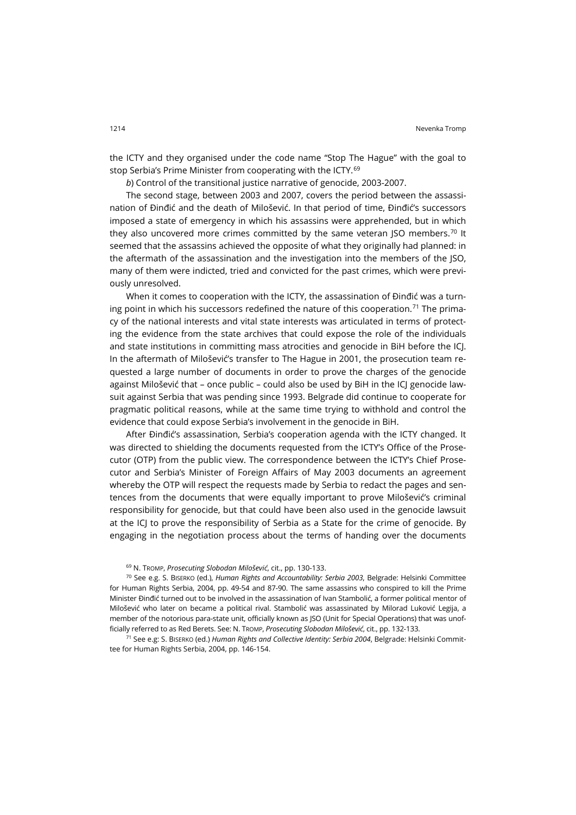the ICTY and they organised under the code name "Stop The Hague" with the goal to stop Serbia's Prime Minister from cooperating with the ICTY.<sup>[69](#page-24-0)</sup>

*b*) Control of the transitional justice narrative of genocide, 2003-2007.

The second stage, between 2003 and 2007, covers the period between the assassination of Đinđić and the death of Milošević. In that period of time, Đinđić's successors imposed a state of emergency in which his assassins were apprehended, but in which they also uncovered more crimes committed by the same veteran  $|SO|$  members.<sup>[70](#page-24-1)</sup> It seemed that the assassins achieved the opposite of what they originally had planned: in the aftermath of the assassination and the investigation into the members of the JSO, many of them were indicted, tried and convicted for the past crimes, which were previously unresolved.

When it comes to cooperation with the ICTY, the assassination of Đinđić was a turn-ing point in which his successors redefined the nature of this cooperation.<sup>[71](#page-24-2)</sup> The primacy of the national interests and vital state interests was articulated in terms of protecting the evidence from the state archives that could expose the role of the individuals and state institutions in committing mass atrocities and genocide in BiH before the ICJ. In the aftermath of Milošević's transfer to The Hague in 2001, the prosecution team requested a large number of documents in order to prove the charges of the genocide against Milošević that - once public - could also be used by BiH in the ICJ genocide lawsuit against Serbia that was pending since 1993. Belgrade did continue to cooperate for pragmatic political reasons, while at the same time trying to withhold and control the evidence that could expose Serbia's involvement in the genocide in BiH.

After Đinđić's assassination, Serbia's cooperation agenda with the ICTY changed. It was directed to shielding the documents requested from the ICTY's Office of the Prosecutor (OTP) from the public view. The correspondence between the ICTY's Chief Prosecutor and Serbia's Minister of Foreign Affairs of May 2003 documents an agreement whereby the OTP will respect the requests made by Serbia to redact the pages and sentences from the documents that were equally important to prove Milošević's criminal responsibility for genocide, but that could have been also used in the genocide lawsuit at the ICJ to prove the responsibility of Serbia as a State for the crime of genocide. By engaging in the negotiation process about the terms of handing over the documents

<sup>69</sup> N. TROMP, *Prosecuting Slobodan Milošević*, cit., pp. 130-133.

<span id="page-24-1"></span><span id="page-24-0"></span><sup>70</sup> See e.g. S. BISERKO (ed.), *Human Rights and Accountability: Serbia 2003*, Belgrade: Helsinki Committee for Human Rights Serbia, 2004, pp. 49-54 and 87-90. The same assassins who conspired to kill the Prime Minister Đinđić turned out to be involved in the assassination of Ivan Stambolić, a former political mentor of Milošević who later on became a political rival. Stambolić was assassinated by Milorad Luković Legija, a member of the notorious para-state unit, officially known as JSO (Unit for Special Operations) that was unofficially referred to as Red Berets. See: N. TROMP, *Prosecuting Slobodan Milošević*, cit., pp. 132-133.

<span id="page-24-2"></span><sup>71</sup> See e.g: S. BISERKO (ed.) *Human Rights and Collective Identity: Serbia 2004*, Belgrade: Helsinki Committee for Human Rights Serbia, 2004, pp. 146-154.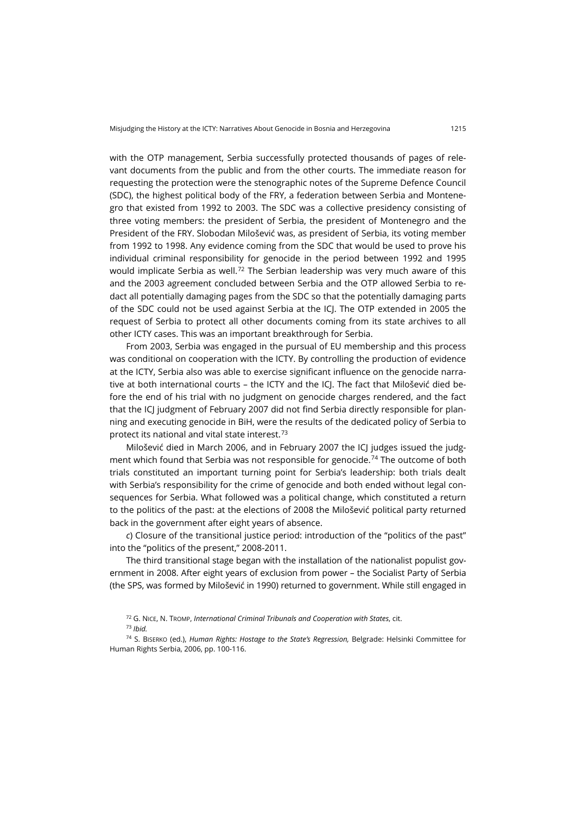with the OTP management, Serbia successfully protected thousands of pages of relevant documents from the public and from the other courts. The immediate reason for requesting the protection were the stenographic notes of the Supreme Defence Council (SDC), the highest political body of the FRY, a federation between Serbia and Montenegro that existed from 1992 to 2003. The SDC was a collective presidency consisting of three voting members: the president of Serbia, the president of Montenegro and the President of the FRY. Slobodan Milošević was, as president of Serbia, its voting member from 1992 to 1998. Any evidence coming from the SDC that would be used to prove his individual criminal responsibility for genocide in the period between 1992 and 1995 would implicate Serbia as well.<sup>[72](#page-25-0)</sup> The Serbian leadership was very much aware of this and the 2003 agreement concluded between Serbia and the OTP allowed Serbia to redact all potentially damaging pages from the SDC so that the potentially damaging parts of the SDC could not be used against Serbia at the ICJ. The OTP extended in 2005 the request of Serbia to protect all other documents coming from its state archives to all other ICTY cases. This was an important breakthrough for Serbia.

From 2003, Serbia was engaged in the pursual of EU membership and this process was conditional on cooperation with the ICTY. By controlling the production of evidence at the ICTY, Serbia also was able to exercise significant influence on the genocide narrative at both international courts – the ICTY and the ICJ. The fact that Milošević died before the end of his trial with no judgment on genocide charges rendered, and the fact that the ICJ judgment of February 2007 did not find Serbia directly responsible for planning and executing genocide in BiH, were the results of the dedicated policy of Serbia to protect its national and vital state interest.[73](#page-25-1)

Milošević died in March 2006, and in February 2007 the ICJ judges issued the judg-ment which found that Serbia was not responsible for genocide.<sup>[74](#page-25-2)</sup> The outcome of both trials constituted an important turning point for Serbia's leadership: both trials dealt with Serbia's responsibility for the crime of genocide and both ended without legal consequences for Serbia. What followed was a political change, which constituted a return to the politics of the past: at the elections of 2008 the Milošević political party returned back in the government after eight years of absence.

*c*) Closure of the transitional justice period: introduction of the "politics of the past" into the "politics of the present," 2008-2011.

The third transitional stage began with the installation of the nationalist populist government in 2008. After eight years of exclusion from power – the Socialist Party of Serbia (the SPS, was formed by Milošević in 1990) returned to government. While still engaged in

<sup>72</sup> G. NICE, N. TROMP, *International Criminal Tribunals and Cooperation with States*, cit. <sup>73</sup> *Ibid.*

<span id="page-25-2"></span><span id="page-25-1"></span><span id="page-25-0"></span><sup>74</sup> S. BISERKO (ed.), *Human Rights: Hostage to the State's Regression,* Belgrade: Helsinki Committee for Human Rights Serbia, 2006, pp. 100-116.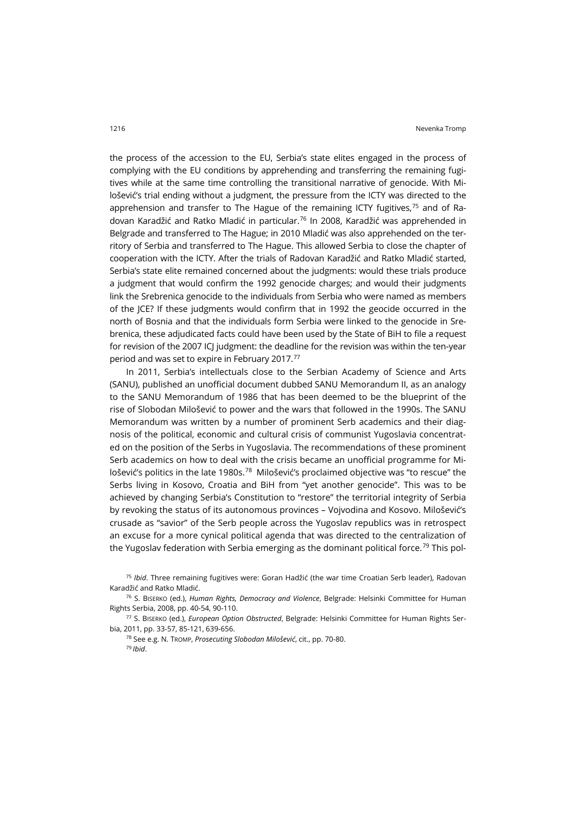the process of the accession to the EU, Serbia's state elites engaged in the process of complying with the EU conditions by apprehending and transferring the remaining fugitives while at the same time controlling the transitional narrative of genocide. With Milošević's trial ending without a judgment, the pressure from the ICTY was directed to the apprehension and transfer to The Hague of the remaining ICTY fugitives.<sup>[75](#page-26-0)</sup> and of Radovan Karadžić and Ratko Mladić in particular[.76](#page-26-1) In 2008, Karadžić was apprehended in Belgrade and transferred to The Hague; in 2010 Mladić was also apprehended on the territory of Serbia and transferred to The Hague. This allowed Serbia to close the chapter of cooperation with the ICTY. After the trials of Radovan Karadžić and Ratko Mladić started, Serbia's state elite remained concerned about the judgments: would these trials produce a judgment that would confirm the 1992 genocide charges; and would their judgments link the Srebrenica genocide to the individuals from Serbia who were named as members of the JCE? If these judgments would confirm that in 1992 the geocide occurred in the north of Bosnia and that the individuals form Serbia were linked to the genocide in Srebrenica, these adjudicated facts could have been used by the State of BiH to file a request for revision of the 2007 ICJ judgment: the deadline for the revision was within the ten-year period and was set to expire in February 2017.[77](#page-26-2)

In 2011, Serbia's intellectuals close to the Serbian Academy of Science and Arts (SANU), published an unofficial document dubbed SANU Memorandum II, as an analogy to the SANU Memorandum of 1986 that has been deemed to be the blueprint of the rise of Slobodan Milošević to power and the wars that followed in the 1990s. The SANU Memorandum was written by a number of prominent Serb academics and their diagnosis of the political, economic and cultural crisis of communist Yugoslavia concentrated on the position of the Serbs in Yugoslavia. The recommendations of these prominent Serb academics on how to deal with the crisis became an unofficial programme for Milošević's politics in the late 1980s.[78](#page-26-3) Milošević's proclaimed objective was "to rescue" the Serbs living in Kosovo, Croatia and BiH from "yet another genocide". This was to be achieved by changing Serbia's Constitution to "restore" the territorial integrity of Serbia by revoking the status of its autonomous provinces – Vojvodina and Kosovo. Milošević's crusade as "savior" of the Serb people across the Yugoslav republics was in retrospect an excuse for a more cynical political agenda that was directed to the centralization of the Yugoslav federation with Serbia emerging as the dominant political force.<sup>[79](#page-26-4)</sup> This pol-

<span id="page-26-0"></span><sup>75</sup> *Ibid*. Three remaining fugitives were: Goran Hadžić (the war time Croatian Serb leader), Radovan Karadžić and Ratko Mladić.

<span id="page-26-1"></span><sup>76</sup> S. BISERKO (ed.), *Human Rights, Democracy and Violence*, Belgrade: Helsinki Committee for Human Rights Serbia, 2008, pp. 40-54, 90-110.

<span id="page-26-4"></span><span id="page-26-3"></span><span id="page-26-2"></span><sup>77</sup> S. BISERKO (ed.), *European Option Obstructed*, Belgrade: Helsinki Committee for Human Rights Serbia, 2011, pp. 33-57, 85-121, 639-656.

<sup>78</sup> See e.g. N. TROMP, *Prosecuting Slobodan Milošević*, cit., pp. 70-80. <sup>79</sup> *Ibid*.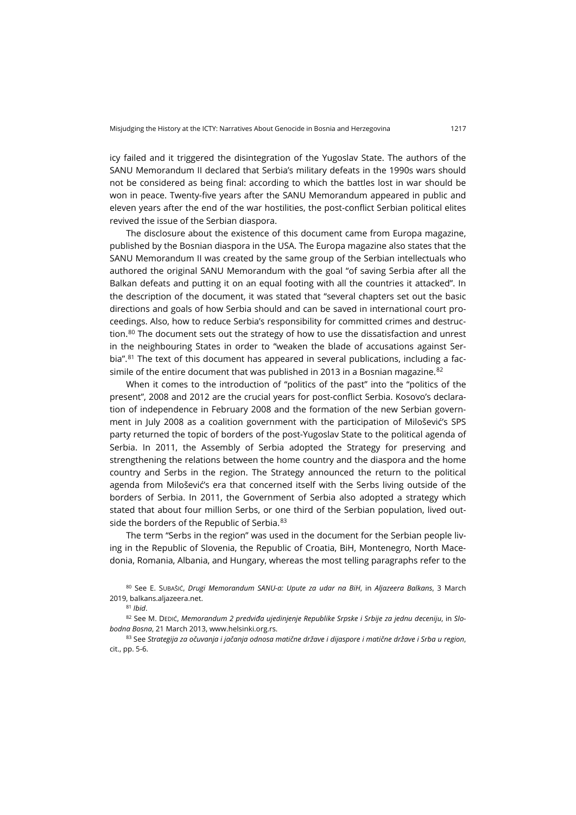icy failed and it triggered the disintegration of the Yugoslav State. The authors of the SANU Memorandum II declared that Serbia's military defeats in the 1990s wars should not be considered as being final: according to which the battles lost in war should be won in peace. Twenty-five years after the SANU Memorandum appeared in public and eleven years after the end of the war hostilities, the post-conflict Serbian political elites revived the issue of the Serbian diaspora.

The disclosure about the existence of this document came from Europa magazine, published by the Bosnian diaspora in the USA. The Europa magazine also states that the SANU Memorandum II was created by the same group of the Serbian intellectuals who authored the original SANU Memorandum with the goal "of saving Serbia after all the Balkan defeats and putting it on an equal footing with all the countries it attacked". In the description of the document, it was stated that "several chapters set out the basic directions and goals of how Serbia should and can be saved in international court proceedings. Also, how to reduce Serbia's responsibility for committed crimes and destruc-tion.<sup>[80](#page-27-0)</sup> The document sets out the strategy of how to use the dissatisfaction and unrest in the neighbouring States in order to "weaken the blade of accusations against Ser-bia".<sup>[81](#page-27-1)</sup> The text of this document has appeared in several publications, including a facsimile of the entire document that was published in 2013 in a Bosnian magazine. $82$ 

When it comes to the introduction of "politics of the past" into the "politics of the present", 2008 and 2012 are the crucial years for post-conflict Serbia. Kosovo's declaration of independence in February 2008 and the formation of the new Serbian government in July 2008 as a coalition government with the participation of Milošević's SPS party returned the topic of borders of the post-Yugoslav State to the political agenda of Serbia. In 2011, the Assembly of Serbia adopted the Strategy for preserving and strengthening the relations between the home country and the diaspora and the home country and Serbs in the region. The Strategy announced the return to the political agenda from Milošević's era that concerned itself with the Serbs living outside of the borders of Serbia. In 2011, the Government of Serbia also adopted a strategy which stated that about four million Serbs, or one third of the Serbian population, lived out-side the borders of the Republic of Serbia. [83](#page-27-3)

The term "Serbs in the region" was used in the document for the Serbian people living in the Republic of Slovenia, the Republic of Croatia, BiH, Montenegro, North Macedonia, Romania, Albania, and Hungary, whereas the most telling paragraphs refer to the

<span id="page-27-0"></span><sup>80</sup> See E. SUBAŠIĆ, *Drugi Memorandum SANU-a: Upute za udar na BiH*, in *Aljazeera Balkans*, 3 March 2019[, balkans.aljazeera.net](https://balkans.aljazeera.net/opinions/2019/3/5/drugi-memorandum-sanu-upute-za-udar-na-bih).

<sup>81</sup> *Ibid*.

<span id="page-27-2"></span><span id="page-27-1"></span><sup>82</sup> See M. DEDIĆ, *Memorandum 2 predviđa ujedinjenje Republike Srpske i Srbije za jednu deceniju*, in *Slobodna Bosna*, 21 March 2013, [www.helsinki.org.rs](http://www.helsinki.org.rs/serbian/doc/Slobodna%20Bosna%20-%20april%202013.pdf).

<span id="page-27-3"></span><sup>83</sup> See *Strategija za očuvanja i jačanja odnosa matične države i dijaspore i matične države i Srba u region*, cit., pp. 5-6.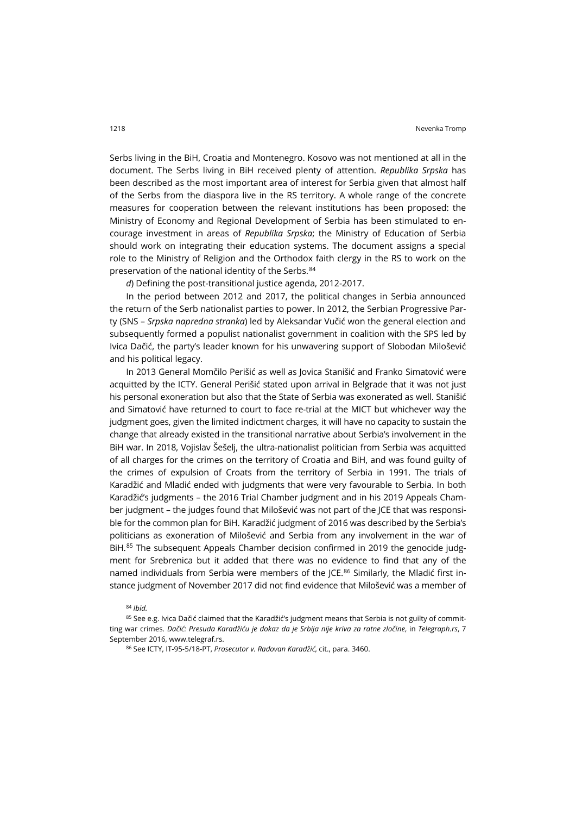Serbs living in the BiH, Croatia and Montenegro. Kosovo was not mentioned at all in the document. The Serbs living in BiH received plenty of attention. *Republika Srpska* has been described as the most important area of interest for Serbia given that almost half of the Serbs from the diaspora live in the RS territory. A whole range of the concrete measures for cooperation between the relevant institutions has been proposed: the Ministry of Economy and Regional Development of Serbia has been stimulated to encourage investment in areas of *Republika Srpska*; the Ministry of Education of Serbia should work on integrating their education systems. The document assigns a special role to the Ministry of Religion and the Orthodox faith clergy in the RS to work on the preservation of the national identity of the Serbs.<sup>[84](#page-28-0)</sup>

*d*) Defining the post-transitional justice agenda, 2012-2017.

In the period between 2012 and 2017, the political changes in Serbia announced the return of the Serb nationalist parties to power. In 2012, the Serbian Progressive Party (SNS – *Srpska napredna stranka*) led by Aleksandar Vučić won the general election and subsequently formed a populist nationalist government in coalition with the SPS led by Ivica Dačić, the party's leader known for his unwavering support of Slobodan Milošević and his political legacy.

In 2013 General Momčilo Perišić as well as Jovica Stanišić and Franko Simatović were acquitted by the ICTY. General Perišić stated upon arrival in Belgrade that it was not just his personal exoneration but also that the State of Serbia was exonerated as well. Stanišić and Simatović have returned to court to face re-trial at the MICT but whichever way the judgment goes, given the limited indictment charges, it will have no capacity to sustain the change that already existed in the transitional narrative about Serbia's involvement in the BiH war. In 2018, Vojislav Šešelj, the ultra-nationalist politician from Serbia was acquitted of all charges for the crimes on the territory of Croatia and BiH, and was found guilty of the crimes of expulsion of Croats from the territory of Serbia in 1991. The trials of Karadžić and Mladić ended with judgments that were very favourable to Serbia. In both Karadžić's judgments – the 2016 Trial Chamber judgment and in his 2019 Appeals Chamber judgment – the judges found that Milošević was not part of the JCE that was responsible for the common plan for BiH. Karadžić judgment of 2016 was described by the Serbia's politicians as exoneration of Milošević and Serbia from any involvement in the war of BiH.<sup>[85](#page-28-1)</sup> The subsequent Appeals Chamber decision confirmed in 2019 the genocide judgment for Srebrenica but it added that there was no evidence to find that any of the named individuals from Serbia were members of the JCE. $86$  Similarly, the Mladić first instance judgment of November 2017 did not find evidence that Milošević was a member of

<sup>84</sup> *Ibid.*

<span id="page-28-2"></span><span id="page-28-1"></span><span id="page-28-0"></span>85 See e.g. Ivica Dačić claimed that the Karadžić's judgment means that Serbia is not guilty of committing war crimes. *Dačić: Presuda Karadžiću je dokaz da je Srbija nije kriva za ratne zločine*, in *Telegraph.rs*, 7 September 2016[, www.telegraf.rs](http://www.telegraf.rs/vesti/politika/2344010-dacic-presuda-karadzicu-je-dokaz-da-je-srbija-nije-kriva-za-ratne-zlocine).

<sup>86</sup> See ICTY, IT-95-5/18-PT, *Prosecutor v. Radovan Karadžić*, cit., para. 3460.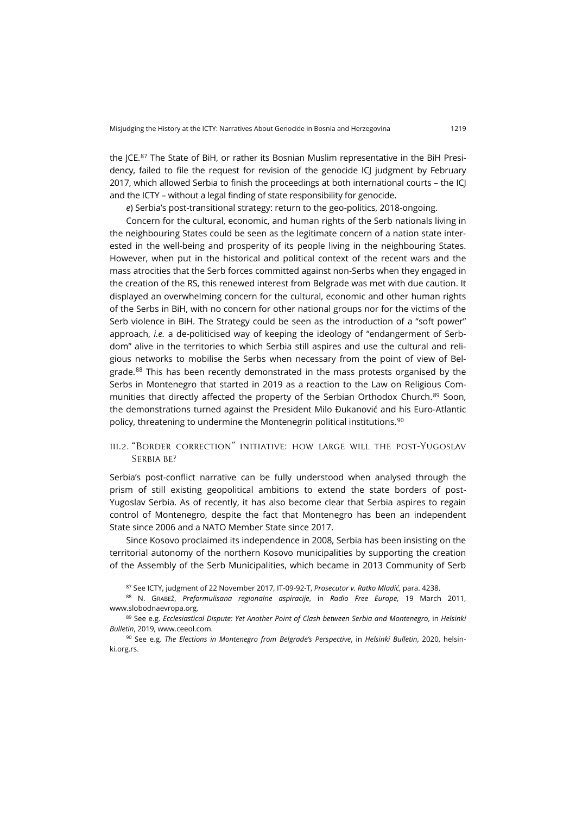the JCE.<sup>[87](#page-29-0)</sup> The State of BiH, or rather its Bosnian Muslim representative in the BiH Presidency, failed to file the request for revision of the genocide ICJ judgment by February 2017, which allowed Serbia to finish the proceedings at both international courts – the ICJ and the ICTY – without a legal finding of state responsibility for genocide.

*e*) Serbia's post-transitional strategy: return to the geo-politics, 2018-ongoing.

Concern for the cultural, economic, and human rights of the Serb nationals living in the neighbouring States could be seen as the legitimate concern of a nation state interested in the well-being and prosperity of its people living in the neighbouring States. However, when put in the historical and political context of the recent wars and the mass atrocities that the Serb forces committed against non-Serbs when they engaged in the creation of the RS, this renewed interest from Belgrade was met with due caution. It displayed an overwhelming concern for the cultural, economic and other human rights of the Serbs in BiH, with no concern for other national groups nor for the victims of the Serb violence in BiH. The Strategy could be seen as the introduction of a "soft power" approach, *i.e.* a de-politicised way of keeping the ideology of "endangerment of Serbdom" alive in the territories to which Serbia still aspires and use the cultural and religious networks to mobilise the Serbs when necessary from the point of view of Bel-grade.<sup>[88](#page-29-1)</sup> This has been recently demonstrated in the mass protests organised by the Serbs in Montenegro that started in 2019 as a reaction to the Law on Religious Com-munities that directly affected the property of the Serbian Orthodox Church.<sup>[89](#page-29-2)</sup> Soon, the demonstrations turned against the President Milo Đukanović and his Euro-Atlantic policy, threatening to undermine the Montenegrin political institutions.<sup>[90](#page-29-3)</sup>

## iii.2. "Border correction" initiative: how large will the post-Yugoslav SERBIA BE?

Serbia's post-conflict narrative can be fully understood when analysed through the prism of still existing geopolitical ambitions to extend the state borders of post-Yugoslav Serbia. As of recently, it has also become clear that Serbia aspires to regain control of Montenegro, despite the fact that Montenegro has been an independent State since 2006 and a NATO Member State since 2017.

Since Kosovo proclaimed its independence in 2008, Serbia has been insisting on the territorial autonomy of the northern Kosovo municipalities by supporting the creation of the Assembly of the Serb Municipalities, which became in 2013 Community of Serb

<sup>87</sup> See ICTY, judgment of 22 November 2017, IT-09-92-T, *Prosecutor v. Ratko Mladić*, para. 4238.

<span id="page-29-1"></span><span id="page-29-0"></span><sup>88</sup> N. GRABEŽ, *Preformulisana regionalne aspiracije*, in *Radio Free Europe*, 19 March 2011, [www.slobodnaevropa.org](https://www.slobodnaevropa.org/a/tema_sedmice_region_srbi_srbija/2343463.html).

<span id="page-29-2"></span><sup>89</sup> See e.g. *Ecclesiastical Dispute: Yet Another Point of Clash between Serbia and Montenegro*, in *Helsinki Bulletin*, 2019[, www.ceeol.com](https://www.ceeol.com/search/article-detail?id=847208).

<span id="page-29-3"></span><sup>90</sup> See e.g. *The Elections in Montenegro from Belgrade's Perspective*, in *Helsinki Bulletin*, 2020, [helsin](https://helsinki.org.rs/doc/HB-No157.pdf)[ki.org.rs](https://helsinki.org.rs/doc/HB-No157.pdf).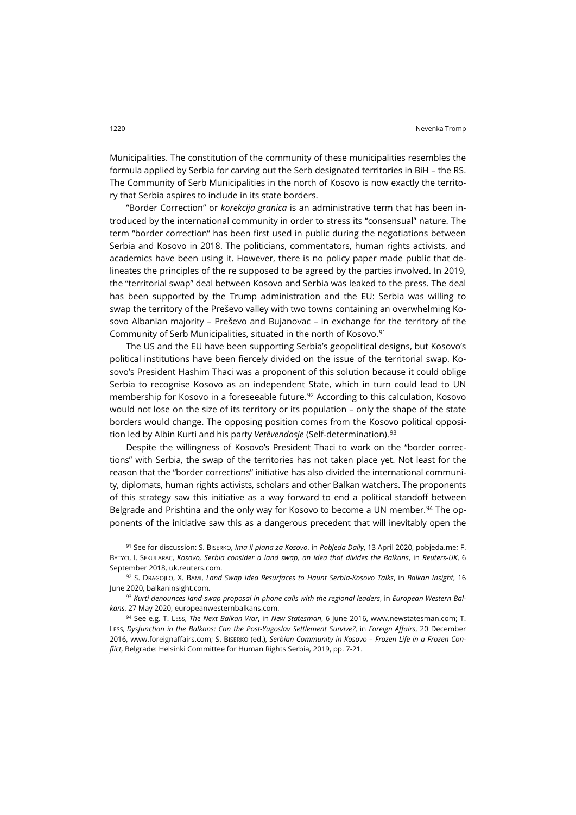Municipalities. The constitution of the community of these municipalities resembles the formula applied by Serbia for carving out the Serb designated territories in BiH – the RS. The Community of Serb Municipalities in the north of Kosovo is now exactly the territory that Serbia aspires to include in its state borders.

"Border Correction" or *korekcija granica* is an administrative term that has been introduced by the international community in order to stress its "consensual" nature. The term "border correction" has been first used in public during the negotiations between Serbia and Kosovo in 2018. The politicians, commentators, human rights activists, and academics have been using it. However, there is no policy paper made public that delineates the principles of the re supposed to be agreed by the parties involved. In 2019, the "territorial swap" deal between Kosovo and Serbia was leaked to the press. The deal has been supported by the Trump administration and the EU: Serbia was willing to swap the territory of the Preševo valley with two towns containing an overwhelming Kosovo Albanian majority – Preševo and Bujanovac – in exchange for the territory of the Community of Serb Municipalities, situated in the north of Kosovo.<sup>[91](#page-30-0)</sup>

The US and the EU have been supporting Serbia's geopolitical designs, but Kosovo's political institutions have been fiercely divided on the issue of the territorial swap. Kosovo's President Hashim Thaci was a proponent of this solution because it could oblige Serbia to recognise Kosovo as an independent State, which in turn could lead to UN membership for Kosovo in a foreseeable future.<sup>[92](#page-30-1)</sup> According to this calculation, Kosovo would not lose on the size of its territory or its population – only the shape of the state borders would change. The opposing position comes from the Kosovo political opposition led by Albin Kurti and his party *Vetëvendosje* (Self-determination).<sup>[93](#page-30-2)</sup>

Despite the willingness of Kosovo's President Thaci to work on the "border corrections" with Serbia, the swap of the territories has not taken place yet. Not least for the reason that the "border corrections" initiative has also divided the international community, diplomats, human rights activists, scholars and other Balkan watchers. The proponents of this strategy saw this initiative as a way forward to end a political standoff between Belgrade and Prishtina and the only way for Kosovo to become a UN member.<sup>[94](#page-30-3)</sup> The opponents of the initiative saw this as a dangerous precedent that will inevitably open the

<span id="page-30-0"></span><sup>91</sup> See for discussion: S. BISERKO, *Ima li plana za Kosovo*, in *Pobjeda Daily*, 13 April 2020[, pobjeda.me;](https://www.pobjeda.me/clanak/ima-li-plana-za-kosovo) F. BYTYCI, I. SEKULARAC, *Kosovo, Serbia consider a land swap, an idea that divides the Balkans*, in *Reuters-UK*, 6 September 2018[, uk.reuters.com](https://uk.reuters.com/article/uk-serbia-kosovo/kosovo-serbia-consider-a-land-swap-an-idea-that-divides-the-balkans-idUKKCN1LM2B5).

<span id="page-30-1"></span><sup>92</sup> S. DRAGOJLO, X. BAMI, *Land Swap Idea Resurfaces to Haunt Serbia-Kosovo Talks*, in *Balkan Insight*, 16 June 2020, [balkaninsight.com](https://balkaninsight.com/2020/06/16/land-swap-idea-resurfaces-to-haunt-serbia-kosovo-talks/).

<span id="page-30-2"></span><sup>93</sup> *Kurti denounces land-swap proposal in phone calls with the regional leaders*, in *European Western Balkans*, 27 May 2020[, europeanwesternbalkans.com](https://europeanwesternbalkans.com/2020/05/27/kurti-denounces-land-swap-proposal-in-phone-calls-with-the-regional-leaders/).

<span id="page-30-3"></span><sup>94</sup> See e.g. T. LESS, *The Next Balkan War*, in *New Statesman*, 6 June 2016, [www.newstatesman.com;](https://www.newstatesman.com/world/2016/06/next-balkan-wars) T. LESS, *Dysfunction in the Balkans: Can the Post-Yugoslav Settlement Survive?*, in *Foreign Affairs*, 20 December 2016, [www.foreignaffairs.com;](https://www.foreignaffairs.com/articles/bosnia-herzegovina/2016-12-20/dysfunction-balkans) S. BISERKO (ed.), *Serbian Community in Kosovo – Frozen Life in a Frozen Conflict*, Belgrade: Helsinki Committee for Human Rights Serbia, 2019, pp. 7-21.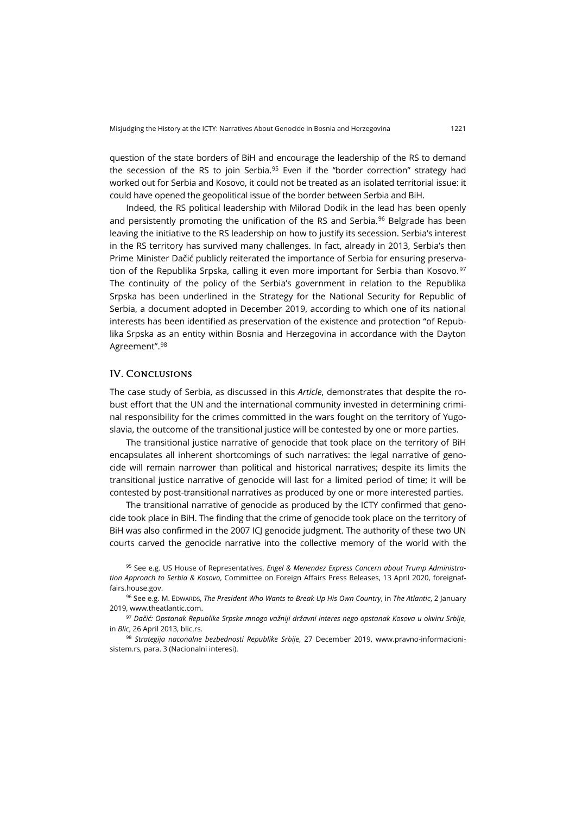question of the state borders of BiH and encourage the leadership of the RS to demand the secession of the RS to join Serbia.<sup>[95](#page-31-0)</sup> Even if the "border correction" strategy had worked out for Serbia and Kosovo, it could not be treated as an isolated territorial issue: it could have opened the geopolitical issue of the border between Serbia and BiH.

Indeed, the RS political leadership with Milorad Dodik in the lead has been openly and persistently promoting the unification of the RS and Serbia.<sup>[96](#page-31-1)</sup> Belgrade has been leaving the initiative to the RS leadership on how to justify its secession. Serbia's interest in the RS territory has survived many challenges. In fact, already in 2013, Serbia's then Prime Minister Dačić publicly reiterated the importance of Serbia for ensuring preservation of the Republika Srpska, calling it even more important for Serbia than Kosovo. $97$ The continuity of the policy of the Serbia's government in relation to the Republika Srpska has been underlined in the Strategy for the National Security for Republic of Serbia, a document adopted in December 2019, according to which one of its national interests has been identified as preservation of the existence and protection "of Republika Srpska as an entity within Bosnia and Herzegovina in accordance with the Dayton Agreement".[98](#page-31-3)

#### IV. Conclusions

The case study of Serbia, as discussed in this *Article*, demonstrates that despite the robust effort that the UN and the international community invested in determining criminal responsibility for the crimes committed in the wars fought on the territory of Yugoslavia, the outcome of the transitional justice will be contested by one or more parties.

The transitional justice narrative of genocide that took place on the territory of BiH encapsulates all inherent shortcomings of such narratives: the legal narrative of genocide will remain narrower than political and historical narratives; despite its limits the transitional justice narrative of genocide will last for a limited period of time; it will be contested by post-transitional narratives as produced by one or more interested parties.

The transitional narrative of genocide as produced by the ICTY confirmed that genocide took place in BiH. The finding that the crime of genocide took place on the territory of BiH was also confirmed in the 2007 ICJ genocide judgment. The authority of these two UN courts carved the genocide narrative into the collective memory of the world with the

<span id="page-31-2"></span><sup>97</sup> *Dačić: Opstanak Republike Srpske mnogo važniji državni interes nego opstanak Kosova u okviru Srbije*, in *Blic*, 26 April 2013[, blic.rs](https://www.blic.rs/vesti/politika/dacic-opstanak-republike-srpske-mnogo-vazniji-drzavni-interes-nego-opstanak-kosova-u/sw62nc0).

<span id="page-31-3"></span><sup>98</sup> *Strategija naconalne bezbednosti Republike Srbije*, 27 December 2019, www.pravno-[informacioni](https://www.pravno-informacioni-sistem.rs/SlGlasnikPortal/eli/rep/sgrs/skupstina/strategija/2019/94/2)[sistem.rs,](https://www.pravno-informacioni-sistem.rs/SlGlasnikPortal/eli/rep/sgrs/skupstina/strategija/2019/94/2) para. 3 (Nacionalni interesi).

<span id="page-31-0"></span><sup>95</sup> See e.g. US House of Representatives, *Engel & Menendez Express Concern about Trump Administration Approach to Serbia & Kosovo*, Committee on Foreign Affairs Press Releases, 13 April 2020, [foreignaf](https://foreignaffairs.house.gov/2020/4/engel-menendez-express-concern-about-trump-administration-approach-to-serbia-kosovo)[fairs.house.gov](https://foreignaffairs.house.gov/2020/4/engel-menendez-express-concern-about-trump-administration-approach-to-serbia-kosovo).

<span id="page-31-1"></span><sup>96</sup> See e.g. M. EDWARDS, *The President Who Wants to Break Up His Own Country*, in *The Atlantic*, 2 January 2019[, www.theatlantic.com](https://www.theatlantic.com/international/archive/2019/01/serb-president-dodik-bosnia/579199/).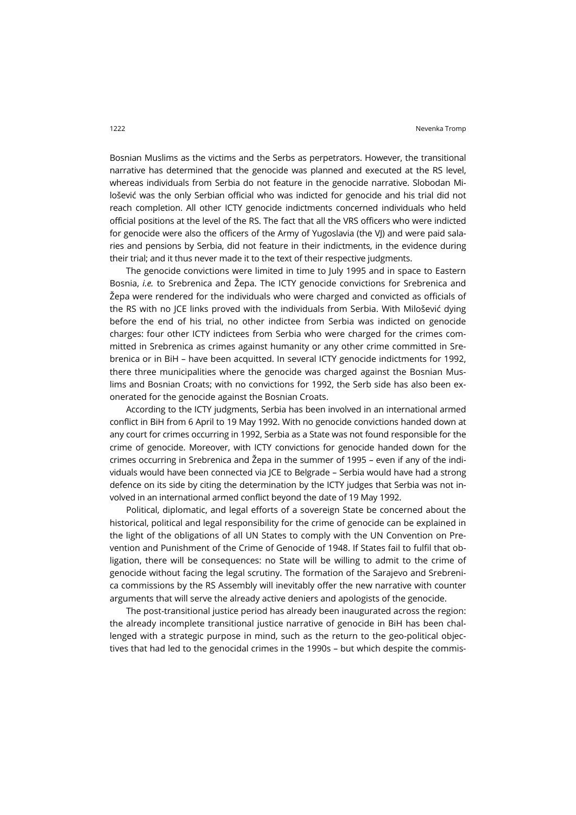Bosnian Muslims as the victims and the Serbs as perpetrators. However, the transitional narrative has determined that the genocide was planned and executed at the RS level, whereas individuals from Serbia do not feature in the genocide narrative. Slobodan Milošević was the only Serbian official who was indicted for genocide and his trial did not reach completion. All other ICTY genocide indictments concerned individuals who held official positions at the level of the RS. The fact that all the VRS officers who were indicted for genocide were also the officers of the Army of Yugoslavia (the VI) and were paid salaries and pensions by Serbia, did not feature in their indictments, in the evidence during their trial; and it thus never made it to the text of their respective judgments.

The genocide convictions were limited in time to July 1995 and in space to Eastern Bosnia, *i.e.* to Srebrenica and Žepa. The ICTY genocide convictions for Srebrenica and Žepa were rendered for the individuals who were charged and convicted as officials of the RS with no JCE links proved with the individuals from Serbia. With Milošević dying before the end of his trial, no other indictee from Serbia was indicted on genocide charges: four other ICTY indictees from Serbia who were charged for the crimes committed in Srebrenica as crimes against humanity or any other crime committed in Srebrenica or in BiH – have been acquitted. In several ICTY genocide indictments for 1992, there three municipalities where the genocide was charged against the Bosnian Muslims and Bosnian Croats; with no convictions for 1992, the Serb side has also been exonerated for the genocide against the Bosnian Croats.

According to the ICTY judgments, Serbia has been involved in an international armed conflict in BiH from 6 April to 19 May 1992. With no genocide convictions handed down at any court for crimes occurring in 1992, Serbia as a State was not found responsible for the crime of genocide. Moreover, with ICTY convictions for genocide handed down for the crimes occurring in Srebrenica and Žepa in the summer of 1995 – even if any of the individuals would have been connected via JCE to Belgrade – Serbia would have had a strong defence on its side by citing the determination by the ICTY judges that Serbia was not involved in an international armed conflict beyond the date of 19 May 1992.

Political, diplomatic, and legal efforts of a sovereign State be concerned about the historical, political and legal responsibility for the crime of genocide can be explained in the light of the obligations of all UN States to comply with the UN Convention on Prevention and Punishment of the Crime of Genocide of 1948. If States fail to fulfil that obligation, there will be consequences: no State will be willing to admit to the crime of genocide without facing the legal scrutiny. The formation of the Sarajevo and Srebrenica commissions by the RS Assembly will inevitably offer the new narrative with counter arguments that will serve the already active deniers and apologists of the genocide.

The post-transitional justice period has already been inaugurated across the region: the already incomplete transitional justice narrative of genocide in BiH has been challenged with a strategic purpose in mind, such as the return to the geo-political objectives that had led to the genocidal crimes in the 1990s – but which despite the commis